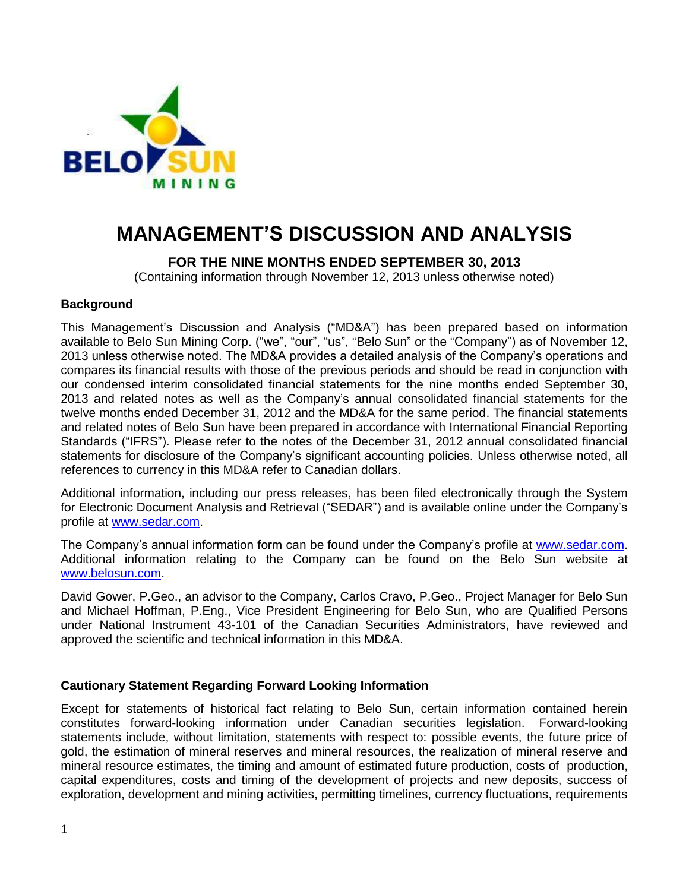

# **MANAGEMENT'S DISCUSSION AND ANALYSIS**

# **FOR THE NINE MONTHS ENDED SEPTEMBER 30, 2013**

(Containing information through November 12, 2013 unless otherwise noted)

## **Background**

This Management's Discussion and Analysis ("MD&A") has been prepared based on information available to Belo Sun Mining Corp. ("we", "our", "us", "Belo Sun" or the "Company") as of November 12, 2013 unless otherwise noted. The MD&A provides a detailed analysis of the Company's operations and compares its financial results with those of the previous periods and should be read in conjunction with our condensed interim consolidated financial statements for the nine months ended September 30, 2013 and related notes as well as the Company's annual consolidated financial statements for the twelve months ended December 31, 2012 and the MD&A for the same period. The financial statements and related notes of Belo Sun have been prepared in accordance with International Financial Reporting Standards ("IFRS"). Please refer to the notes of the December 31, 2012 annual consolidated financial statements for disclosure of the Company's significant accounting policies. Unless otherwise noted, all references to currency in this MD&A refer to Canadian dollars.

Additional information, including our press releases, has been filed electronically through the System for Electronic Document Analysis and Retrieval ("SEDAR") and is available online under the Company's profile at [www.sedar.com.](http://www.sedar.com/)

The Company's annual information form can be found under the Company's profile at [www.sedar.com.](http://www.sedar.com/) Additional information relating to the Company can be found on the Belo Sun website at [www.belosun.com.](http://www.belosun.com/)

David Gower, P.Geo., an advisor to the Company, Carlos Cravo, P.Geo., Project Manager for Belo Sun and Michael Hoffman, P.Eng., Vice President Engineering for Belo Sun, who are Qualified Persons under National Instrument 43-101 of the Canadian Securities Administrators, have reviewed and approved the scientific and technical information in this MD&A.

# **Cautionary Statement Regarding Forward Looking Information**

Except for statements of historical fact relating to Belo Sun, certain information contained herein constitutes forward-looking information under Canadian securities legislation. Forward-looking statements include, without limitation, statements with respect to: possible events, the future price of gold, the estimation of mineral reserves and mineral resources, the realization of mineral reserve and mineral resource estimates, the timing and amount of estimated future production, costs of production, capital expenditures, costs and timing of the development of projects and new deposits, success of exploration, development and mining activities, permitting timelines, currency fluctuations, requirements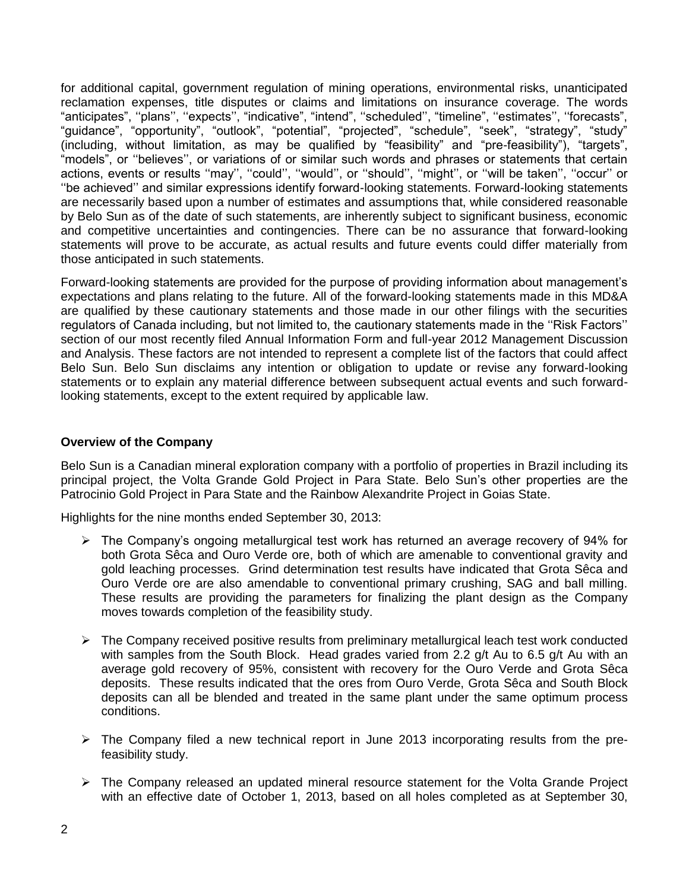for additional capital, government regulation of mining operations, environmental risks, unanticipated reclamation expenses, title disputes or claims and limitations on insurance coverage. The words "anticipates", "plans", "expects", "indicative", "intend", "scheduled", "timeline", "estimates", "forecasts", "guidance", "opportunity", "outlook", "potential", "projected", "schedule", "seek", "strategy", "study" (including, without limitation, as may be qualified by "feasibility" and "pre-feasibility"), "targets", "models", or "believes", or variations of or similar such words and phrases or statements that certain actions, events or results "may", "could", "would", or "should", "might", or "will be taken", "occur" or ‗‗be achieved'' and similar expressions identify forward-looking statements. Forward-looking statements are necessarily based upon a number of estimates and assumptions that, while considered reasonable by Belo Sun as of the date of such statements, are inherently subject to significant business, economic and competitive uncertainties and contingencies. There can be no assurance that forward-looking statements will prove to be accurate, as actual results and future events could differ materially from those anticipated in such statements.

Forward-looking statements are provided for the purpose of providing information about management's expectations and plans relating to the future. All of the forward-looking statements made in this MD&A are qualified by these cautionary statements and those made in our other filings with the securities regulators of Canada including, but not limited to, the cautionary statements made in the "Risk Factors" section of our most recently filed Annual Information Form and full-year 2012 Management Discussion and Analysis. These factors are not intended to represent a complete list of the factors that could affect Belo Sun. Belo Sun disclaims any intention or obligation to update or revise any forward-looking statements or to explain any material difference between subsequent actual events and such forwardlooking statements, except to the extent required by applicable law.

## **Overview of the Company**

Belo Sun is a Canadian mineral exploration company with a portfolio of properties in Brazil including its principal project, the Volta Grande Gold Project in Para State. Belo Sun's other properties are the Patrocinio Gold Project in Para State and the Rainbow Alexandrite Project in Goias State.

Highlights for the nine months ended September 30, 2013:

- $\triangleright$  The Company's ongoing metallurgical test work has returned an average recovery of 94% for both Grota Sêca and Ouro Verde ore, both of which are amenable to conventional gravity and gold leaching processes. Grind determination test results have indicated that Grota Sêca and Ouro Verde ore are also amendable to conventional primary crushing, SAG and ball milling. These results are providing the parameters for finalizing the plant design as the Company moves towards completion of the feasibility study.
- $\triangleright$  The Company received positive results from preliminary metallurgical leach test work conducted with samples from the South Block. Head grades varied from 2.2 g/t Au to 6.5 g/t Au with an average gold recovery of 95%, consistent with recovery for the Ouro Verde and Grota Sêca deposits. These results indicated that the ores from Ouro Verde, Grota Sêca and South Block deposits can all be blended and treated in the same plant under the same optimum process conditions.
- $\triangleright$  The Company filed a new technical report in June 2013 incorporating results from the prefeasibility study.
- $\triangleright$  The Company released an updated mineral resource statement for the Volta Grande Project with an effective date of October 1, 2013, based on all holes completed as at September 30,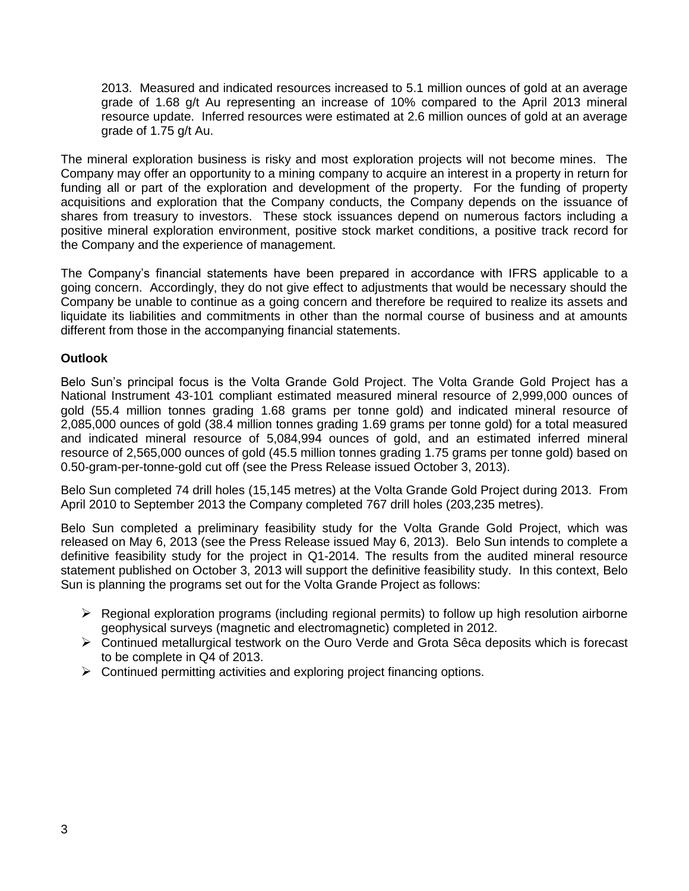2013. Measured and indicated resources increased to 5.1 million ounces of gold at an average grade of 1.68 g/t Au representing an increase of 10% compared to the April 2013 mineral resource update. Inferred resources were estimated at 2.6 million ounces of gold at an average grade of 1.75 g/t Au.

The mineral exploration business is risky and most exploration projects will not become mines. The Company may offer an opportunity to a mining company to acquire an interest in a property in return for funding all or part of the exploration and development of the property. For the funding of property acquisitions and exploration that the Company conducts, the Company depends on the issuance of shares from treasury to investors. These stock issuances depend on numerous factors including a positive mineral exploration environment, positive stock market conditions, a positive track record for the Company and the experience of management.

The Company's financial statements have been prepared in accordance with IFRS applicable to a going concern. Accordingly, they do not give effect to adjustments that would be necessary should the Company be unable to continue as a going concern and therefore be required to realize its assets and liquidate its liabilities and commitments in other than the normal course of business and at amounts different from those in the accompanying financial statements.

# **Outlook**

Belo Sun's principal focus is the Volta Grande Gold Project. The Volta Grande Gold Project has a National Instrument 43-101 compliant estimated measured mineral resource of 2,999,000 ounces of gold (55.4 million tonnes grading 1.68 grams per tonne gold) and indicated mineral resource of 2,085,000 ounces of gold (38.4 million tonnes grading 1.69 grams per tonne gold) for a total measured and indicated mineral resource of 5,084,994 ounces of gold, and an estimated inferred mineral resource of 2,565,000 ounces of gold (45.5 million tonnes grading 1.75 grams per tonne gold) based on 0.50-gram-per-tonne-gold cut off (see the Press Release issued October 3, 2013).

Belo Sun completed 74 drill holes (15,145 metres) at the Volta Grande Gold Project during 2013. From April 2010 to September 2013 the Company completed 767 drill holes (203,235 metres).

Belo Sun completed a preliminary feasibility study for the Volta Grande Gold Project, which was released on May 6, 2013 (see the Press Release issued May 6, 2013). Belo Sun intends to complete a definitive feasibility study for the project in Q1-2014. The results from the audited mineral resource statement published on October 3, 2013 will support the definitive feasibility study. In this context, Belo Sun is planning the programs set out for the Volta Grande Project as follows:

- $\triangleright$  Regional exploration programs (including regional permits) to follow up high resolution airborne geophysical surveys (magnetic and electromagnetic) completed in 2012.
- Continued metallurgical testwork on the Ouro Verde and Grota Sêca deposits which is forecast to be complete in Q4 of 2013.
- $\triangleright$  Continued permitting activities and exploring project financing options.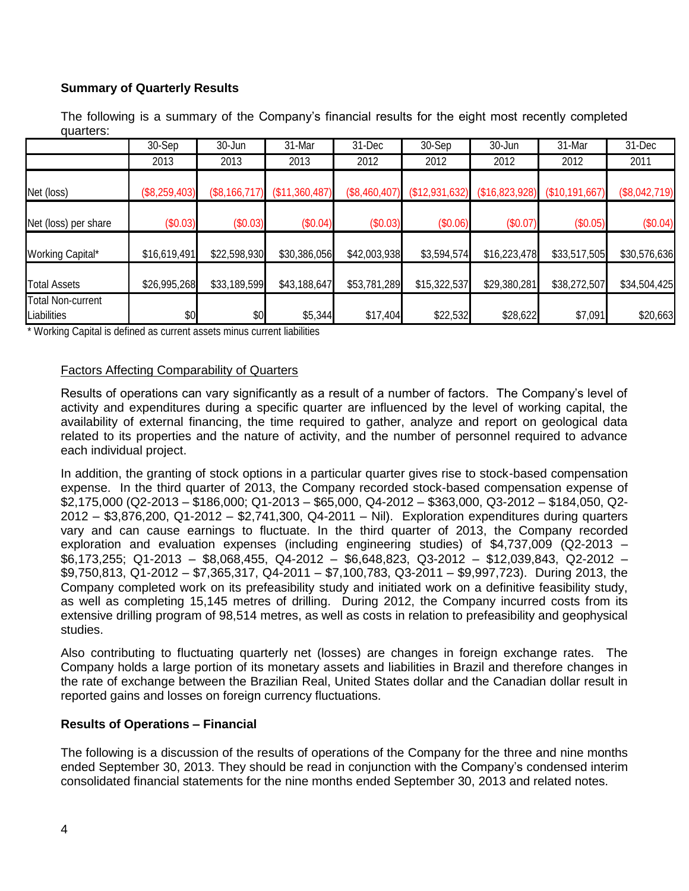# **Summary of Quarterly Results**

The following is a summary of the Company's financial results for the eight most recently completed quarters:

|                                         | 30-Sep        | 30-Jun        | 31-Mar         | 31-Dec        | 30-Sep         | 30-Jun         | 31-Mar         | 31-Dec        |
|-----------------------------------------|---------------|---------------|----------------|---------------|----------------|----------------|----------------|---------------|
|                                         | 2013          | 2013          | 2013           | 2012          | 2012           | 2012           | 2012           | 2011          |
| Net (loss)                              | (\$8,259,403) | (\$8,166,717) | (\$11,360,487) | (\$8,460,407) | (\$12,931,632) | (\$16,823,928) | (\$10,191,667) | (\$8,042,719) |
| Net (loss) per share                    | (\$0.03)      | (\$0.03)      | (\$0.04)       | (\$0.03)      | (\$0.06)       | (\$0.07)       | (\$0.05)       | (\$0.04)      |
| Working Capital*                        | \$16,619,491  | \$22,598,930  | \$30,386,056   | \$42,003,938  | \$3,594,574    | \$16,223,478   | \$33,517,505   | \$30,576,636  |
| <b>Total Assets</b>                     | \$26,995,268  | \$33,189,599  | \$43,188,647   | \$53,781,289  | \$15,322,537   | \$29,380,281   | \$38,272,507   | \$34,504,425  |
| <b>Total Non-current</b><br>Liabilities | \$0           | \$0           | \$5,344        | \$17,404      | \$22,532       | \$28,622       | \$7,091        | \$20,663      |

\* Working Capital is defined as current assets minus current liabilities

## Factors Affecting Comparability of Quarters

Results of operations can vary significantly as a result of a number of factors. The Company's level of activity and expenditures during a specific quarter are influenced by the level of working capital, the availability of external financing, the time required to gather, analyze and report on geological data related to its properties and the nature of activity, and the number of personnel required to advance each individual project.

In addition, the granting of stock options in a particular quarter gives rise to stock-based compensation expense. In the third quarter of 2013, the Company recorded stock-based compensation expense of \$2,175,000 (Q2-2013 – \$186,000; Q1-2013 – \$65,000, Q4-2012 – \$363,000, Q3-2012 – \$184,050, Q2- 2012 – \$3,876,200, Q1-2012 – \$2,741,300, Q4-2011 – Nil). Exploration expenditures during quarters vary and can cause earnings to fluctuate. In the third quarter of 2013, the Company recorded exploration and evaluation expenses (including engineering studies) of \$4,737,009 (Q2-2013 – \$6,173,255; Q1-2013 – \$8,068,455, Q4-2012 – \$6,648,823, Q3-2012 – \$12,039,843, Q2-2012 – \$9,750,813, Q1-2012 – \$7,365,317, Q4-2011 – \$7,100,783, Q3-2011 – \$9,997,723). During 2013, the Company completed work on its prefeasibility study and initiated work on a definitive feasibility study, as well as completing 15,145 metres of drilling. During 2012, the Company incurred costs from its extensive drilling program of 98,514 metres, as well as costs in relation to prefeasibility and geophysical studies.

Also contributing to fluctuating quarterly net (losses) are changes in foreign exchange rates. The Company holds a large portion of its monetary assets and liabilities in Brazil and therefore changes in the rate of exchange between the Brazilian Real, United States dollar and the Canadian dollar result in reported gains and losses on foreign currency fluctuations.

# **Results of Operations – Financial**

The following is a discussion of the results of operations of the Company for the three and nine months ended September 30, 2013. They should be read in conjunction with the Company's condensed interim consolidated financial statements for the nine months ended September 30, 2013 and related notes.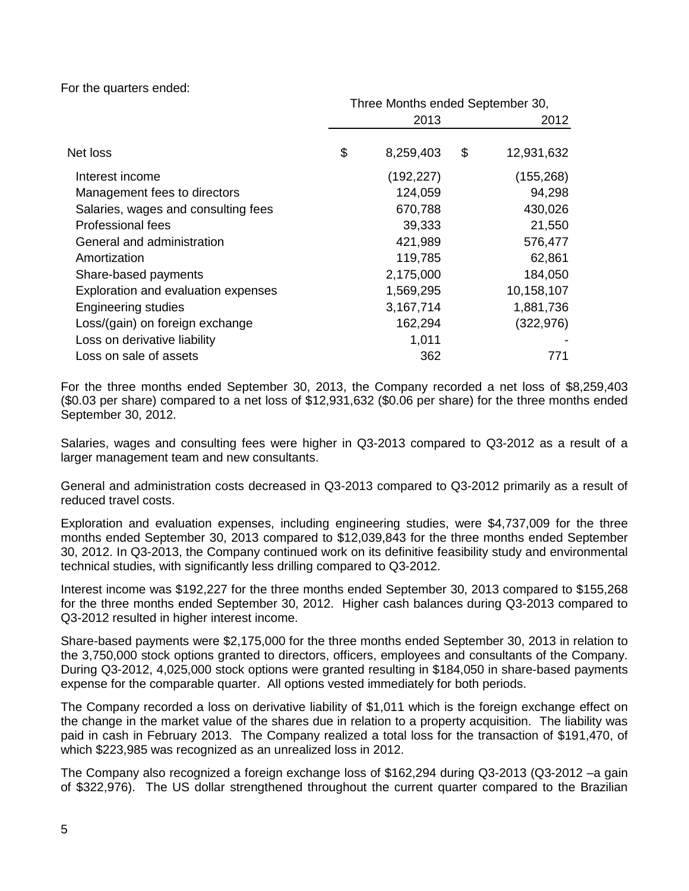For the quarters ended:

|                                     |      | Three Months ended September 30, |    |            |  |
|-------------------------------------|------|----------------------------------|----|------------|--|
|                                     | 2013 |                                  |    | 2012       |  |
| Net loss                            | \$   | 8,259,403                        | \$ | 12,931,632 |  |
|                                     |      |                                  |    |            |  |
| Interest income                     |      | (192, 227)                       |    | (155, 268) |  |
| Management fees to directors        |      | 124,059                          |    | 94,298     |  |
| Salaries, wages and consulting fees |      | 670,788                          |    | 430,026    |  |
| Professional fees                   |      | 39,333                           |    | 21,550     |  |
| General and administration          |      | 421,989                          |    | 576,477    |  |
| Amortization                        |      | 119,785                          |    | 62,861     |  |
| Share-based payments                |      | 2,175,000                        |    | 184,050    |  |
| Exploration and evaluation expenses |      | 1,569,295                        |    | 10,158,107 |  |
| <b>Engineering studies</b>          |      | 3,167,714                        |    | 1,881,736  |  |
| Loss/(gain) on foreign exchange     |      | 162,294                          |    | (322, 976) |  |
| Loss on derivative liability        |      | 1,011                            |    |            |  |
| Loss on sale of assets              |      | 362                              |    | 771        |  |

For the three months ended September 30, 2013, the Company recorded a net loss of \$8,259,403 (\$0.03 per share) compared to a net loss of \$12,931,632 (\$0.06 per share) for the three months ended September 30, 2012.

Salaries, wages and consulting fees were higher in Q3-2013 compared to Q3-2012 as a result of a larger management team and new consultants.

General and administration costs decreased in Q3-2013 compared to Q3-2012 primarily as a result of reduced travel costs.

Exploration and evaluation expenses, including engineering studies, were \$4,737,009 for the three months ended September 30, 2013 compared to \$12,039,843 for the three months ended September 30, 2012. In Q3-2013, the Company continued work on its definitive feasibility study and environmental technical studies, with significantly less drilling compared to Q3-2012.

Interest income was \$192,227 for the three months ended September 30, 2013 compared to \$155,268 for the three months ended September 30, 2012. Higher cash balances during Q3-2013 compared to Q3-2012 resulted in higher interest income.

Share-based payments were \$2,175,000 for the three months ended September 30, 2013 in relation to the 3,750,000 stock options granted to directors, officers, employees and consultants of the Company. During Q3-2012, 4,025,000 stock options were granted resulting in \$184,050 in share-based payments expense for the comparable quarter. All options vested immediately for both periods.

The Company recorded a loss on derivative liability of \$1,011 which is the foreign exchange effect on the change in the market value of the shares due in relation to a property acquisition. The liability was paid in cash in February 2013. The Company realized a total loss for the transaction of \$191,470, of which \$223,985 was recognized as an unrealized loss in 2012.

The Company also recognized a foreign exchange loss of \$162,294 during Q3-2013 (Q3-2012 –a gain of \$322,976). The US dollar strengthened throughout the current quarter compared to the Brazilian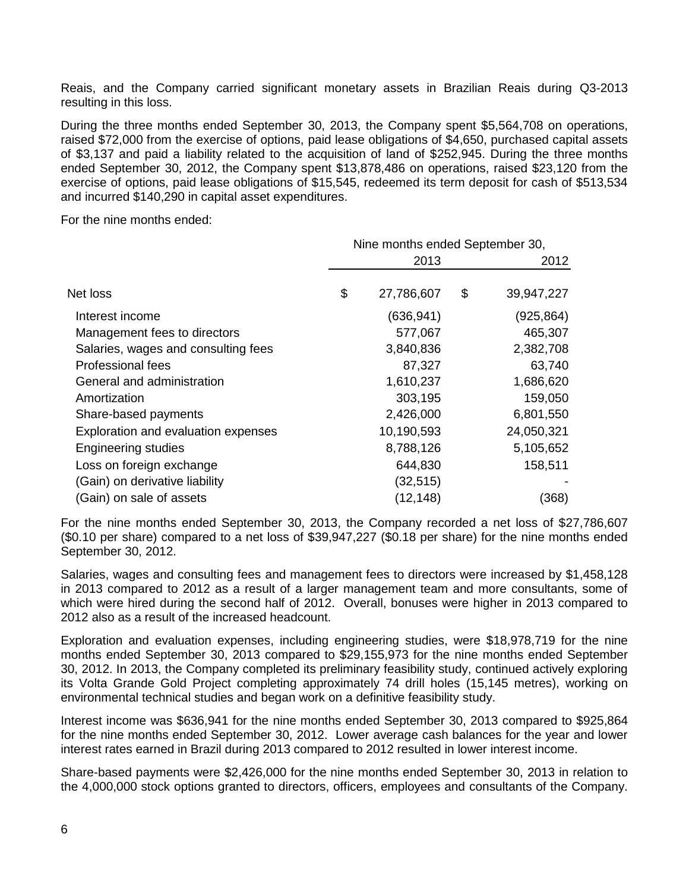Reais, and the Company carried significant monetary assets in Brazilian Reais during Q3-2013 resulting in this loss.

During the three months ended September 30, 2013, the Company spent \$5,564,708 on operations, raised \$72,000 from the exercise of options, paid lease obligations of \$4,650, purchased capital assets of \$3,137 and paid a liability related to the acquisition of land of \$252,945. During the three months ended September 30, 2012, the Company spent \$13,878,486 on operations, raised \$23,120 from the exercise of options, paid lease obligations of \$15,545, redeemed its term deposit for cash of \$513,534 and incurred \$140,290 in capital asset expenditures.

For the nine months ended:

|                                     |  | Nine months ended September 30, |    |            |  |
|-------------------------------------|--|---------------------------------|----|------------|--|
|                                     |  | 2013                            |    | 2012       |  |
| Net loss                            |  | 27,786,607                      | \$ | 39,947,227 |  |
| Interest income                     |  | (636, 941)                      |    | (925, 864) |  |
| Management fees to directors        |  | 577,067                         |    | 465,307    |  |
| Salaries, wages and consulting fees |  | 3,840,836                       |    | 2,382,708  |  |
| Professional fees                   |  | 87,327                          |    | 63,740     |  |
| General and administration          |  | 1,610,237                       |    | 1,686,620  |  |
| Amortization                        |  | 303,195                         |    | 159,050    |  |
| Share-based payments                |  | 2,426,000                       |    | 6,801,550  |  |
| Exploration and evaluation expenses |  | 10,190,593                      |    | 24,050,321 |  |
| <b>Engineering studies</b>          |  | 8,788,126                       |    | 5,105,652  |  |
| Loss on foreign exchange            |  | 644,830                         |    | 158,511    |  |
| (Gain) on derivative liability      |  | (32, 515)                       |    |            |  |
| (Gain) on sale of assets            |  | (12, 148)                       |    | (368)      |  |

For the nine months ended September 30, 2013, the Company recorded a net loss of \$27,786,607 (\$0.10 per share) compared to a net loss of \$39,947,227 (\$0.18 per share) for the nine months ended September 30, 2012.

Salaries, wages and consulting fees and management fees to directors were increased by \$1,458,128 in 2013 compared to 2012 as a result of a larger management team and more consultants, some of which were hired during the second half of 2012. Overall, bonuses were higher in 2013 compared to 2012 also as a result of the increased headcount.

Exploration and evaluation expenses, including engineering studies, were \$18,978,719 for the nine months ended September 30, 2013 compared to \$29,155,973 for the nine months ended September 30, 2012. In 2013, the Company completed its preliminary feasibility study, continued actively exploring its Volta Grande Gold Project completing approximately 74 drill holes (15,145 metres), working on environmental technical studies and began work on a definitive feasibility study.

Interest income was \$636,941 for the nine months ended September 30, 2013 compared to \$925,864 for the nine months ended September 30, 2012. Lower average cash balances for the year and lower interest rates earned in Brazil during 2013 compared to 2012 resulted in lower interest income.

Share-based payments were \$2,426,000 for the nine months ended September 30, 2013 in relation to the 4,000,000 stock options granted to directors, officers, employees and consultants of the Company.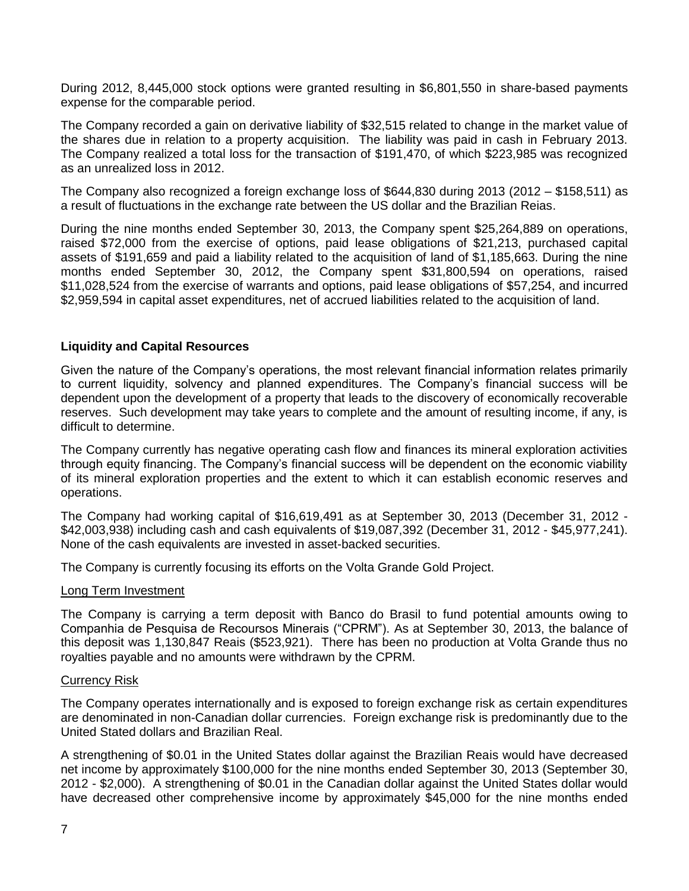During 2012, 8,445,000 stock options were granted resulting in \$6,801,550 in share-based payments expense for the comparable period.

The Company recorded a gain on derivative liability of \$32,515 related to change in the market value of the shares due in relation to a property acquisition. The liability was paid in cash in February 2013. The Company realized a total loss for the transaction of \$191,470, of which \$223,985 was recognized as an unrealized loss in 2012.

The Company also recognized a foreign exchange loss of \$644,830 during 2013 (2012 – \$158,511) as a result of fluctuations in the exchange rate between the US dollar and the Brazilian Reias.

During the nine months ended September 30, 2013, the Company spent \$25,264,889 on operations, raised \$72,000 from the exercise of options, paid lease obligations of \$21,213, purchased capital assets of \$191,659 and paid a liability related to the acquisition of land of \$1,185,663. During the nine months ended September 30, 2012, the Company spent \$31,800,594 on operations, raised \$11,028,524 from the exercise of warrants and options, paid lease obligations of \$57,254, and incurred \$2,959,594 in capital asset expenditures, net of accrued liabilities related to the acquisition of land.

## **Liquidity and Capital Resources**

Given the nature of the Company's operations, the most relevant financial information relates primarily to current liquidity, solvency and planned expenditures. The Company's financial success will be dependent upon the development of a property that leads to the discovery of economically recoverable reserves. Such development may take years to complete and the amount of resulting income, if any, is difficult to determine.

The Company currently has negative operating cash flow and finances its mineral exploration activities through equity financing. The Company's financial success will be dependent on the economic viability of its mineral exploration properties and the extent to which it can establish economic reserves and operations.

The Company had working capital of \$16,619,491 as at September 30, 2013 (December 31, 2012 - \$42,003,938) including cash and cash equivalents of \$19,087,392 (December 31, 2012 - \$45,977,241). None of the cash equivalents are invested in asset-backed securities.

The Company is currently focusing its efforts on the Volta Grande Gold Project.

#### Long Term Investment

The Company is carrying a term deposit with Banco do Brasil to fund potential amounts owing to Companhia de Pesquisa de Recoursos Minerais ("CPRM"). As at September 30, 2013, the balance of this deposit was 1,130,847 Reais (\$523,921). There has been no production at Volta Grande thus no royalties payable and no amounts were withdrawn by the CPRM.

#### Currency Risk

The Company operates internationally and is exposed to foreign exchange risk as certain expenditures are denominated in non-Canadian dollar currencies. Foreign exchange risk is predominantly due to the United Stated dollars and Brazilian Real.

A strengthening of \$0.01 in the United States dollar against the Brazilian Reais would have decreased net income by approximately \$100,000 for the nine months ended September 30, 2013 (September 30, 2012 - \$2,000). A strengthening of \$0.01 in the Canadian dollar against the United States dollar would have decreased other comprehensive income by approximately \$45,000 for the nine months ended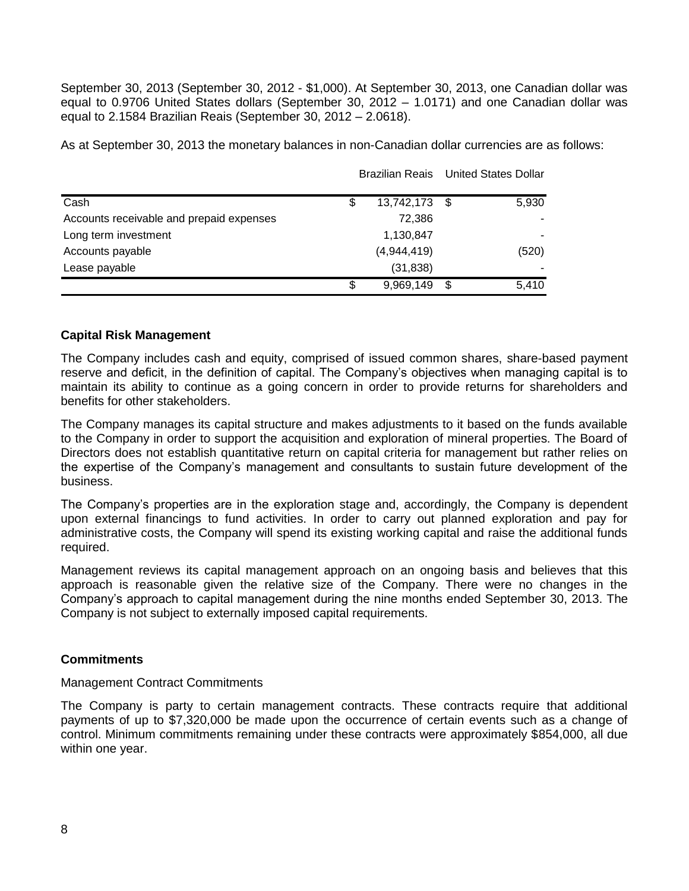September 30, 2013 (September 30, 2012 - \$1,000). At September 30, 2013, one Canadian dollar was equal to 0.9706 United States dollars (September 30, 2012 – 1.0171) and one Canadian dollar was equal to 2.1584 Brazilian Reais (September 30, 2012 – 2.0618).

As at September 30, 2013 the monetary balances in non-Canadian dollar currencies are as follows:

|                                          |                     | Brazilian Reais United States Dollar |       |  |
|------------------------------------------|---------------------|--------------------------------------|-------|--|
| Cash                                     | \$<br>13,742,173 \$ |                                      | 5,930 |  |
| Accounts receivable and prepaid expenses | 72,386              |                                      |       |  |
| Long term investment                     | 1,130,847           |                                      |       |  |
| Accounts payable                         | (4,944,419)         |                                      | (520) |  |
| Lease payable                            | (31, 838)           |                                      |       |  |
|                                          | \$<br>9,969,149     | \$                                   | 5,410 |  |

# **Capital Risk Management**

The Company includes cash and equity, comprised of issued common shares, share-based payment reserve and deficit, in the definition of capital. The Company's objectives when managing capital is to maintain its ability to continue as a going concern in order to provide returns for shareholders and benefits for other stakeholders.

The Company manages its capital structure and makes adjustments to it based on the funds available to the Company in order to support the acquisition and exploration of mineral properties. The Board of Directors does not establish quantitative return on capital criteria for management but rather relies on the expertise of the Company's management and consultants to sustain future development of the business.

The Company's properties are in the exploration stage and, accordingly, the Company is dependent upon external financings to fund activities. In order to carry out planned exploration and pay for administrative costs, the Company will spend its existing working capital and raise the additional funds required.

Management reviews its capital management approach on an ongoing basis and believes that this approach is reasonable given the relative size of the Company. There were no changes in the Company's approach to capital management during the nine months ended September 30, 2013. The Company is not subject to externally imposed capital requirements.

# **Commitments**

#### Management Contract Commitments

The Company is party to certain management contracts. These contracts require that additional payments of up to \$7,320,000 be made upon the occurrence of certain events such as a change of control. Minimum commitments remaining under these contracts were approximately \$854,000, all due within one year.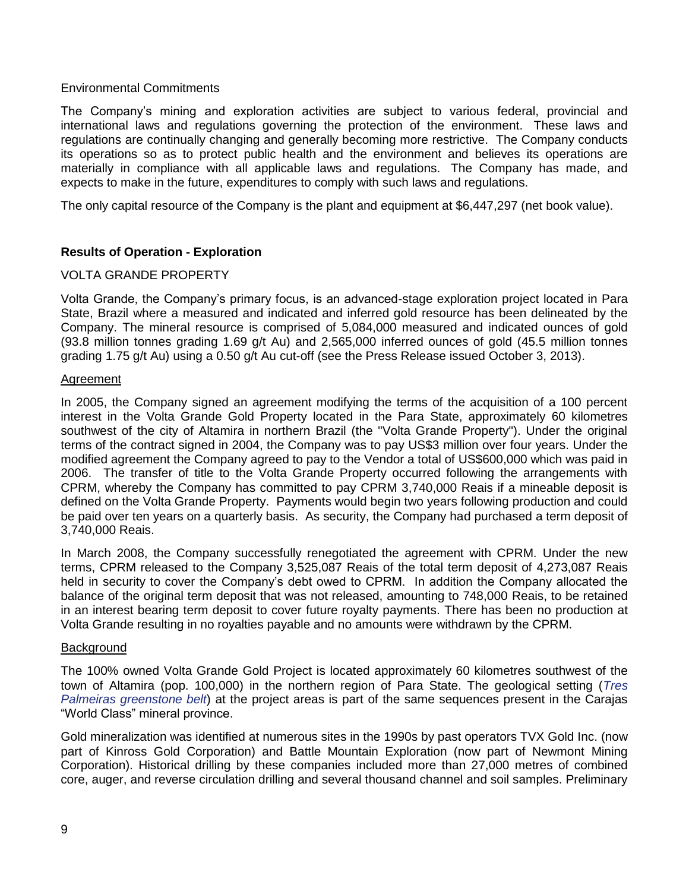## Environmental Commitments

The Company's mining and exploration activities are subject to various federal, provincial and international laws and regulations governing the protection of the environment. These laws and regulations are continually changing and generally becoming more restrictive. The Company conducts its operations so as to protect public health and the environment and believes its operations are materially in compliance with all applicable laws and regulations. The Company has made, and expects to make in the future, expenditures to comply with such laws and regulations.

The only capital resource of the Company is the plant and equipment at \$6,447,297 (net book value).

# **Results of Operation - Exploration**

## VOLTA GRANDE PROPERTY

Volta Grande, the Company's primary focus, is an advanced-stage exploration project located in Para State, Brazil where a measured and indicated and inferred gold resource has been delineated by the Company. The mineral resource is comprised of 5,084,000 measured and indicated ounces of gold (93.8 million tonnes grading 1.69 g/t Au) and 2,565,000 inferred ounces of gold (45.5 million tonnes grading 1.75 g/t Au) using a 0.50 g/t Au cut-off (see the Press Release issued October 3, 2013).

#### **Agreement**

In 2005, the Company signed an agreement modifying the terms of the acquisition of a 100 percent interest in the Volta Grande Gold Property located in the Para State, approximately 60 kilometres southwest of the city of Altamira in northern Brazil (the "Volta Grande Property"). Under the original terms of the contract signed in 2004, the Company was to pay US\$3 million over four years. Under the modified agreement the Company agreed to pay to the Vendor a total of US\$600,000 which was paid in 2006. The transfer of title to the Volta Grande Property occurred following the arrangements with CPRM, whereby the Company has committed to pay CPRM 3,740,000 Reais if a mineable deposit is defined on the Volta Grande Property. Payments would begin two years following production and could be paid over ten years on a quarterly basis. As security, the Company had purchased a term deposit of 3,740,000 Reais.

In March 2008, the Company successfully renegotiated the agreement with CPRM. Under the new terms, CPRM released to the Company 3,525,087 Reais of the total term deposit of 4,273,087 Reais held in security to cover the Company's debt owed to CPRM. In addition the Company allocated the balance of the original term deposit that was not released, amounting to 748,000 Reais, to be retained in an interest bearing term deposit to cover future royalty payments. There has been no production at Volta Grande resulting in no royalties payable and no amounts were withdrawn by the CPRM.

#### **Background**

The 100% owned Volta Grande Gold Project is located approximately 60 kilometres southwest of the town of Altamira (pop. 100,000) in the northern region of Para State. The geological setting (*Tres Palmeiras greenstone belt*) at the project areas is part of the same sequences present in the Carajas "World Class" mineral province.

Gold mineralization was identified at numerous sites in the 1990s by past operators TVX Gold Inc. (now part of Kinross Gold Corporation) and Battle Mountain Exploration (now part of Newmont Mining Corporation). Historical drilling by these companies included more than 27,000 metres of combined core, auger, and reverse circulation drilling and several thousand channel and soil samples. Preliminary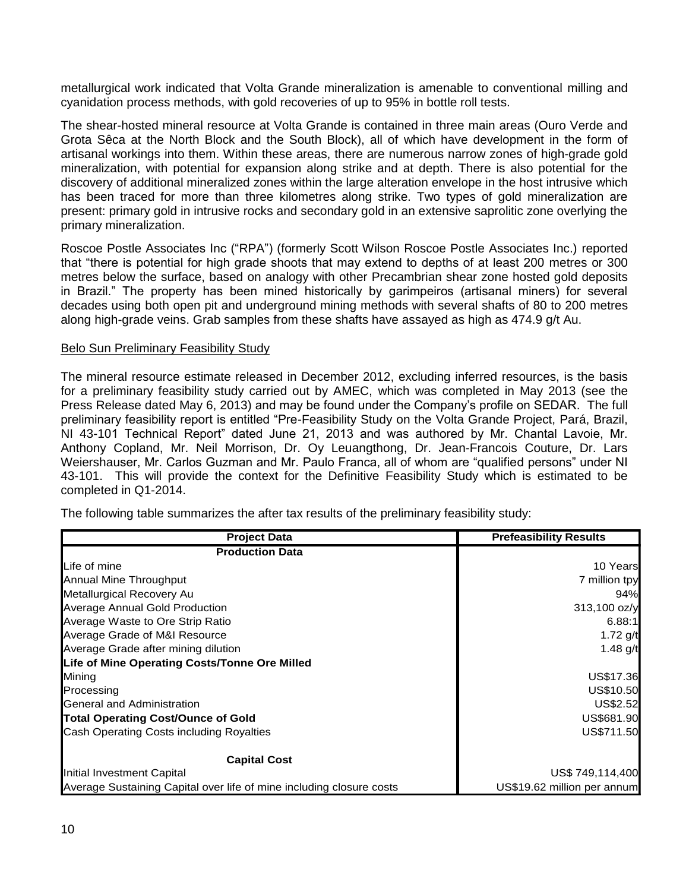metallurgical work indicated that Volta Grande mineralization is amenable to conventional milling and cyanidation process methods, with gold recoveries of up to 95% in bottle roll tests.

The shear-hosted mineral resource at Volta Grande is contained in three main areas (Ouro Verde and Grota Sêca at the North Block and the South Block), all of which have development in the form of artisanal workings into them. Within these areas, there are numerous narrow zones of high-grade gold mineralization, with potential for expansion along strike and at depth. There is also potential for the discovery of additional mineralized zones within the large alteration envelope in the host intrusive which has been traced for more than three kilometres along strike. Two types of gold mineralization are present: primary gold in intrusive rocks and secondary gold in an extensive saprolitic zone overlying the primary mineralization.

Roscoe Postle Associates Inc ("RPA") (formerly Scott Wilson Roscoe Postle Associates Inc.) reported that "there is potential for high grade shoots that may extend to depths of at least 200 metres or 300 metres below the surface, based on analogy with other Precambrian shear zone hosted gold deposits in Brazil." The property has been mined historically by garimpeiros (artisanal miners) for several decades using both open pit and underground mining methods with several shafts of 80 to 200 metres along high-grade veins. Grab samples from these shafts have assayed as high as 474.9 g/t Au.

#### Belo Sun Preliminary Feasibility Study

The mineral resource estimate released in December 2012, excluding inferred resources, is the basis for a preliminary feasibility study carried out by AMEC, which was completed in May 2013 (see the Press Release dated May 6, 2013) and may be found under the Company's profile on SEDAR. The full preliminary feasibility report is entitled "Pre-Feasibility Study on the Volta Grande Project, Pará, Brazil, NI 43-101 Technical Report" dated June 21, 2013 and was authored by Mr. Chantal Lavoie, Mr. Anthony Copland, Mr. Neil Morrison, Dr. Oy Leuangthong, Dr. Jean-Francois Couture, Dr. Lars Weiershauser, Mr. Carlos Guzman and Mr. Paulo Franca, all of whom are "qualified persons" under NI 43-101. This will provide the context for the Definitive Feasibility Study which is estimated to be completed in Q1-2014.

The following table summarizes the after tax results of the preliminary feasibility study:

| <b>Project Data</b>                                                  | <b>Prefeasibility Results</b> |
|----------------------------------------------------------------------|-------------------------------|
| <b>Production Data</b>                                               |                               |
| Life of mine                                                         | 10 Years                      |
| Annual Mine Throughput                                               | 7 million tpy                 |
| Metallurgical Recovery Au                                            | 94%                           |
| <b>Average Annual Gold Production</b>                                | $313,100$ oz/y                |
| Average Waste to Ore Strip Ratio                                     | 6.88:1                        |
| Average Grade of M&I Resource                                        | 1.72 $g/t$                    |
| Average Grade after mining dilution                                  | 1.48 $g/t$                    |
| Life of Mine Operating Costs/Tonne Ore Milled                        |                               |
| Mining                                                               | US\$17.36                     |
| Processing                                                           | US\$10.50                     |
| <b>General and Administration</b>                                    | US\$2.52                      |
| <b>Total Operating Cost/Ounce of Gold</b>                            | US\$681.90                    |
| Cash Operating Costs including Royalties                             | US\$711.50                    |
| <b>Capital Cost</b>                                                  |                               |
| Initial Investment Capital                                           | US\$ 749,114,400              |
| Average Sustaining Capital over life of mine including closure costs | US\$19.62 million per annum   |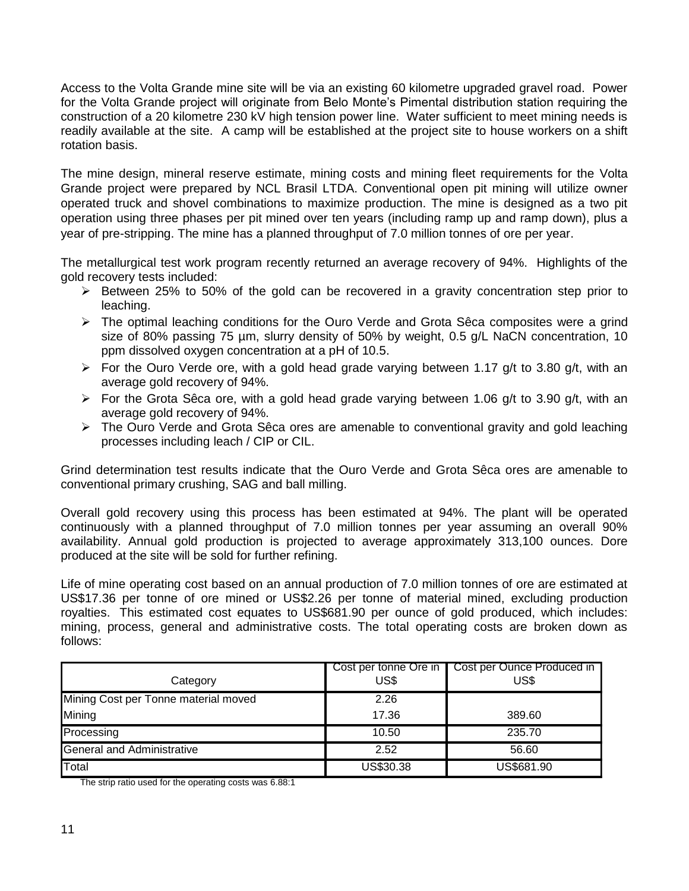Access to the Volta Grande mine site will be via an existing 60 kilometre upgraded gravel road. Power for the Volta Grande project will originate from Belo Monte's Pimental distribution station requiring the construction of a 20 kilometre 230 kV high tension power line. Water sufficient to meet mining needs is readily available at the site. A camp will be established at the project site to house workers on a shift rotation basis.

The mine design, mineral reserve estimate, mining costs and mining fleet requirements for the Volta Grande project were prepared by NCL Brasil LTDA. Conventional open pit mining will utilize owner operated truck and shovel combinations to maximize production. The mine is designed as a two pit operation using three phases per pit mined over ten years (including ramp up and ramp down), plus a year of pre-stripping. The mine has a planned throughput of 7.0 million tonnes of ore per year.

The metallurgical test work program recently returned an average recovery of 94%. Highlights of the gold recovery tests included:

- $\triangleright$  Between 25% to 50% of the gold can be recovered in a gravity concentration step prior to leaching.
- $\triangleright$  The optimal leaching conditions for the Ouro Verde and Grota Sêca composites were a grind size of 80% passing 75 µm, slurry density of 50% by weight, 0.5 g/L NaCN concentration, 10 ppm dissolved oxygen concentration at a pH of 10.5.
- For the Ouro Verde ore, with a gold head grade varying between 1.17 g/t to 3.80 g/t, with an average gold recovery of 94%.
- For the Grota Sêca ore, with a gold head grade varying between 1.06 g/t to 3.90 g/t, with an average gold recovery of 94%.
- The Ouro Verde and Grota Sêca ores are amenable to conventional gravity and gold leaching processes including leach / CIP or CIL.

Grind determination test results indicate that the Ouro Verde and Grota Sêca ores are amenable to conventional primary crushing, SAG and ball milling.

Overall gold recovery using this process has been estimated at 94%. The plant will be operated continuously with a planned throughput of 7.0 million tonnes per year assuming an overall 90% availability. Annual gold production is projected to average approximately 313,100 ounces. Dore produced at the site will be sold for further refining.

Life of mine operating cost based on an annual production of 7.0 million tonnes of ore are estimated at US\$17.36 per tonne of ore mined or US\$2.26 per tonne of material mined, excluding production royalties. This estimated cost equates to US\$681.90 per ounce of gold produced, which includes: mining, process, general and administrative costs. The total operating costs are broken down as follows:

|                                      |           | Cost per tonne Ore in   Cost per Ounce Produced in |
|--------------------------------------|-----------|----------------------------------------------------|
| Category                             | US\$      | US\$                                               |
| Mining Cost per Tonne material moved | 2.26      |                                                    |
| Mining                               | 17.36     | 389.60                                             |
| Processing                           | 10.50     | 235.70                                             |
| <b>General and Administrative</b>    | 2.52      | 56.60                                              |
| Total                                | US\$30.38 | US\$681.90                                         |

The strip ratio used for the operating costs was 6.88:1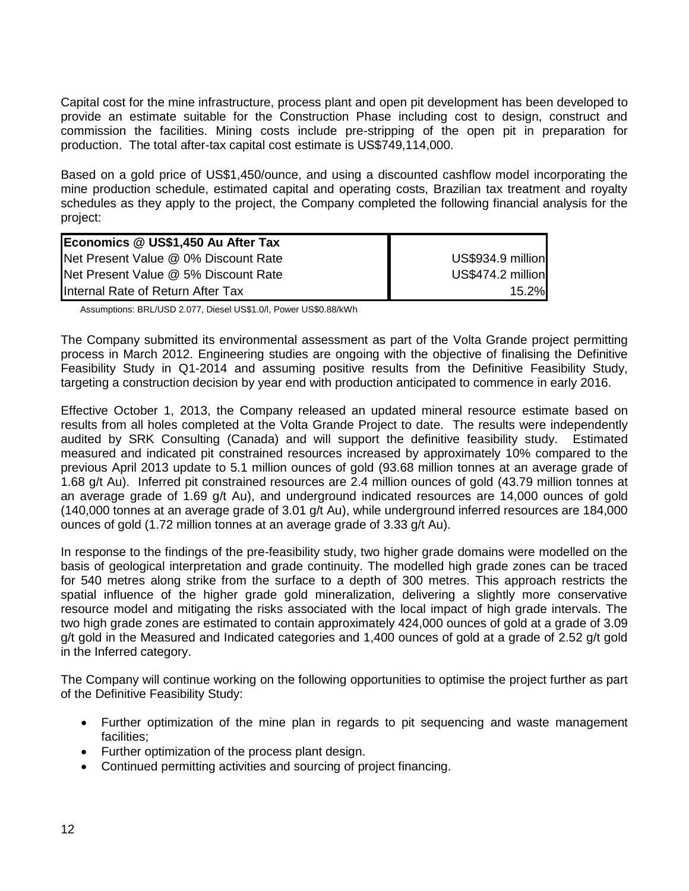Capital cost for the mine infrastructure, process plant and open pit development has been developed to provide an estimate suitable for the Construction Phase including cost to design, construct and commission the facilities. Mining costs include pre-stripping of the open pit in preparation for production. The total after-tax capital cost estimate is US\$749,114,000.

Based on a gold price of US\$1,450/ounce, and using a discounted cashflow model incorporating the mine production schedule, estimated capital and operating costs, Brazilian tax treatment and royalty schedules as they apply to the project, the Company completed the following financial analysis for the project:

| Economics @ US\$1,450 Au After Tax   |                   |
|--------------------------------------|-------------------|
| Net Present Value @ 0% Discount Rate | US\$934.9 million |
| Net Present Value @ 5% Discount Rate | US\$474.2 million |
| Internal Rate of Return After Tax    | $15.2\%$          |

Assumptions: BRL/USD 2.077, Diesel US\$1.0/l, Power US\$0.88/kWh

The Company submitted its environmental assessment as part of the Volta Grande project permitting process in March 2012. Engineering studies are ongoing with the objective of finalising the Definitive Feasibility Study in Q1-2014 and assuming positive results from the Definitive Feasibility Study, targeting a construction decision by year end with production anticipated to commence in early 2016.

Effective October 1, 2013, the Company released an updated mineral resource estimate based on results from all holes completed at the Volta Grande Project to date. The results were independently audited by SRK Consulting (Canada) and will support the definitive feasibility study. Estimated measured and indicated pit constrained resources increased by approximately 10% compared to the previous April 2013 update to 5.1 million ounces of gold (93.68 million tonnes at an average grade of 1.68 g/t Au). Inferred pit constrained resources are 2.4 million ounces of gold (43.79 million tonnes at an average grade of 1.69 g/t Au), and underground indicated resources are 14,000 ounces of gold (140,000 tonnes at an average grade of 3.01 g/t Au), while underground inferred resources are 184,000 ounces of gold (1.72 million tonnes at an average grade of 3.33 g/t Au).

In response to the findings of the pre-feasibility study, two higher grade domains were modelled on the basis of geological interpretation and grade continuity. The modelled high grade zones can be traced for 540 metres along strike from the surface to a depth of 300 metres. This approach restricts the spatial influence of the higher grade gold mineralization, delivering a slightly more conservative resource model and mitigating the risks associated with the local impact of high grade intervals. The two high grade zones are estimated to contain approximately 424,000 ounces of gold at a grade of 3.09 g/t gold in the Measured and Indicated categories and 1,400 ounces of gold at a grade of 2.52 g/t gold in the Inferred category.

The Company will continue working on the following opportunities to optimise the project further as part of the Definitive Feasibility Study:

- Further optimization of the mine plan in regards to pit sequencing and waste management facilities;
- Further optimization of the process plant design.
- Continued permitting activities and sourcing of project financing.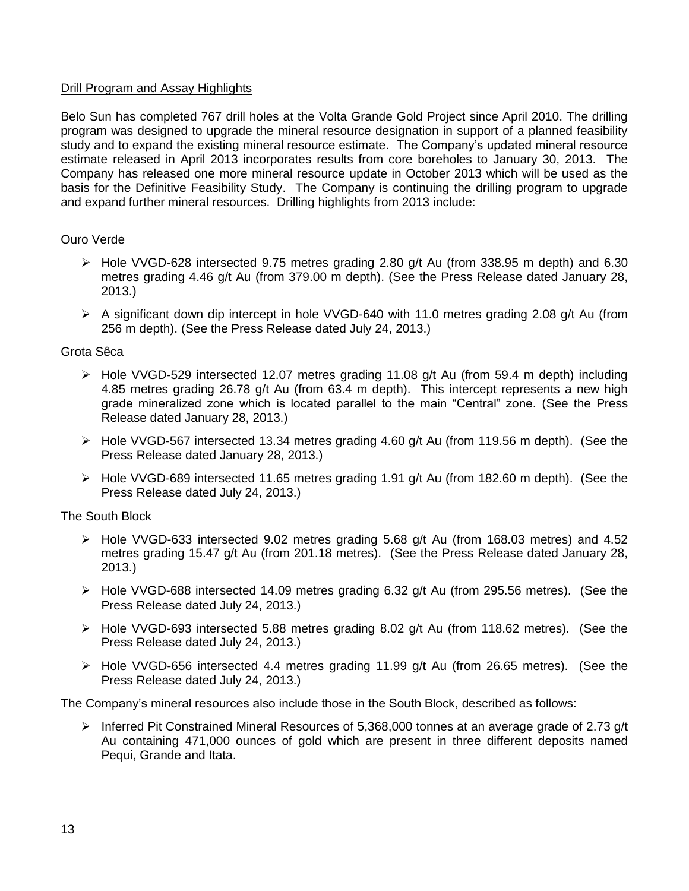# Drill Program and Assay Highlights

Belo Sun has completed 767 drill holes at the Volta Grande Gold Project since April 2010. The drilling program was designed to upgrade the mineral resource designation in support of a planned feasibility study and to expand the existing mineral resource estimate. The Company's updated mineral resource estimate released in April 2013 incorporates results from core boreholes to January 30, 2013. The Company has released one more mineral resource update in October 2013 which will be used as the basis for the Definitive Feasibility Study. The Company is continuing the drilling program to upgrade and expand further mineral resources. Drilling highlights from 2013 include:

## Ouro Verde

- $\triangleright$  Hole VVGD-628 intersected 9.75 metres grading 2.80 g/t Au (from 338.95 m depth) and 6.30 metres grading 4.46 g/t Au (from 379.00 m depth). (See the Press Release dated January 28, 2013.)
- A significant down dip intercept in hole VVGD-640 with 11.0 metres grading 2.08 g/t Au (from 256 m depth). (See the Press Release dated July 24, 2013.)

#### Grota Sêca

- Hole VVGD-529 intersected 12.07 metres grading 11.08 g/t Au (from 59.4 m depth) including 4.85 metres grading 26.78 g/t Au (from 63.4 m depth). This intercept represents a new high grade mineralized zone which is located parallel to the main "Central" zone. (See the Press Release dated January 28, 2013.)
- $\triangleright$  Hole VVGD-567 intersected 13.34 metres grading 4.60 g/t Au (from 119.56 m depth). (See the Press Release dated January 28, 2013.)
- $\triangleright$  Hole VVGD-689 intersected 11.65 metres grading 1.91 g/t Au (from 182.60 m depth). (See the Press Release dated July 24, 2013.)

## The South Block

- $\triangleright$  Hole VVGD-633 intersected 9.02 metres grading 5.68 g/t Au (from 168.03 metres) and 4.52 metres grading 15.47 g/t Au (from 201.18 metres). (See the Press Release dated January 28, 2013.)
- $\triangleright$  Hole VVGD-688 intersected 14.09 metres grading 6.32 g/t Au (from 295.56 metres). (See the Press Release dated July 24, 2013.)
- Hole VVGD-693 intersected 5.88 metres grading 8.02 g/t Au (from 118.62 metres). (See the Press Release dated July 24, 2013.)
- $\triangleright$  Hole VVGD-656 intersected 4.4 metres grading 11.99 g/t Au (from 26.65 metres). (See the Press Release dated July 24, 2013.)

The Company's mineral resources also include those in the South Block, described as follows:

Inferred Pit Constrained Mineral Resources of 5,368,000 tonnes at an average grade of 2.73 g/t Au containing 471,000 ounces of gold which are present in three different deposits named Pequi, Grande and Itata.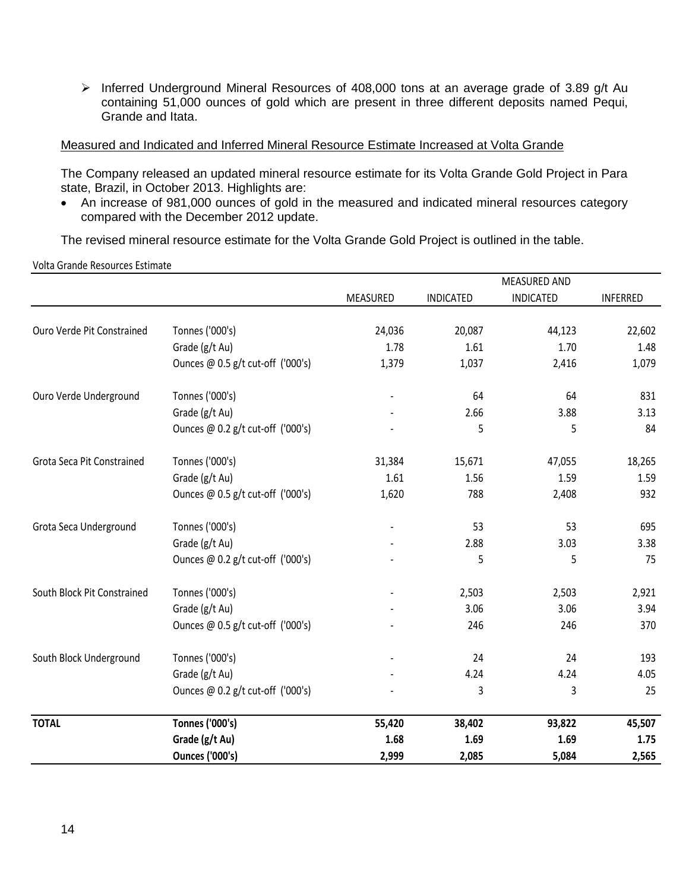Inferred Underground Mineral Resources of 408,000 tons at an average grade of 3.89 g/t Au containing 51,000 ounces of gold which are present in three different deposits named Pequi, Grande and Itata.

## Measured and Indicated and Inferred Mineral Resource Estimate Increased at Volta Grande

The Company released an updated mineral resource estimate for its Volta Grande Gold Project in Para state, Brazil, in October 2013. Highlights are:

• An increase of 981,000 ounces of gold in the measured and indicated mineral resources category compared with the December 2012 update.

The revised mineral resource estimate for the Volta Grande Gold Project is outlined in the table.

Volta Grande Resources Estimate

|                             |                                   | MEASURED AND |                  |                  |          |  |
|-----------------------------|-----------------------------------|--------------|------------------|------------------|----------|--|
|                             |                                   | MEASURED     | <b>INDICATED</b> | <b>INDICATED</b> | INFERRED |  |
| Ouro Verde Pit Constrained  | Tonnes ('000's)                   | 24,036       | 20,087           | 44,123           | 22,602   |  |
|                             | Grade (g/t Au)                    | 1.78         | 1.61             | 1.70             | 1.48     |  |
|                             | Ounces @ 0.5 g/t cut-off ('000's) | 1,379        | 1,037            | 2,416            | 1,079    |  |
| Ouro Verde Underground      | Tonnes ('000's)                   |              | 64               | 64               | 831      |  |
|                             | Grade (g/t Au)                    |              | 2.66             | 3.88             | 3.13     |  |
|                             | Ounces @ 0.2 g/t cut-off ('000's) |              | 5                | 5                | 84       |  |
| Grota Seca Pit Constrained  | Tonnes ('000's)                   | 31,384       | 15,671           | 47,055           | 18,265   |  |
|                             | Grade (g/t Au)                    | 1.61         | 1.56             | 1.59             | 1.59     |  |
|                             | Ounces @ 0.5 g/t cut-off ('000's) | 1,620        | 788              | 2,408            | 932      |  |
| Grota Seca Underground      | Tonnes ('000's)                   |              | 53               | 53               | 695      |  |
|                             | Grade (g/t Au)                    |              | 2.88             | 3.03             | 3.38     |  |
|                             | Ounces @ 0.2 g/t cut-off ('000's) |              | 5                | 5                | 75       |  |
| South Block Pit Constrained | Tonnes ('000's)                   |              | 2,503            | 2,503            | 2,921    |  |
|                             | Grade (g/t Au)                    |              | 3.06             | 3.06             | 3.94     |  |
|                             | Ounces @ 0.5 g/t cut-off ('000's) |              | 246              | 246              | 370      |  |
| South Block Underground     | Tonnes ('000's)                   |              | 24               | 24               | 193      |  |
|                             | Grade (g/t Au)                    |              | 4.24             | 4.24             | 4.05     |  |
|                             | Ounces @ 0.2 g/t cut-off ('000's) |              | 3                | 3                | 25       |  |
| <b>TOTAL</b>                | <b>Tonnes ('000's)</b>            | 55,420       | 38,402           | 93,822           | 45,507   |  |
|                             | Grade (g/t Au)                    | 1.68         | 1.69             | 1.69             | 1.75     |  |
|                             | <b>Ounces ('000's)</b>            | 2,999        | 2,085            | 5,084            | 2,565    |  |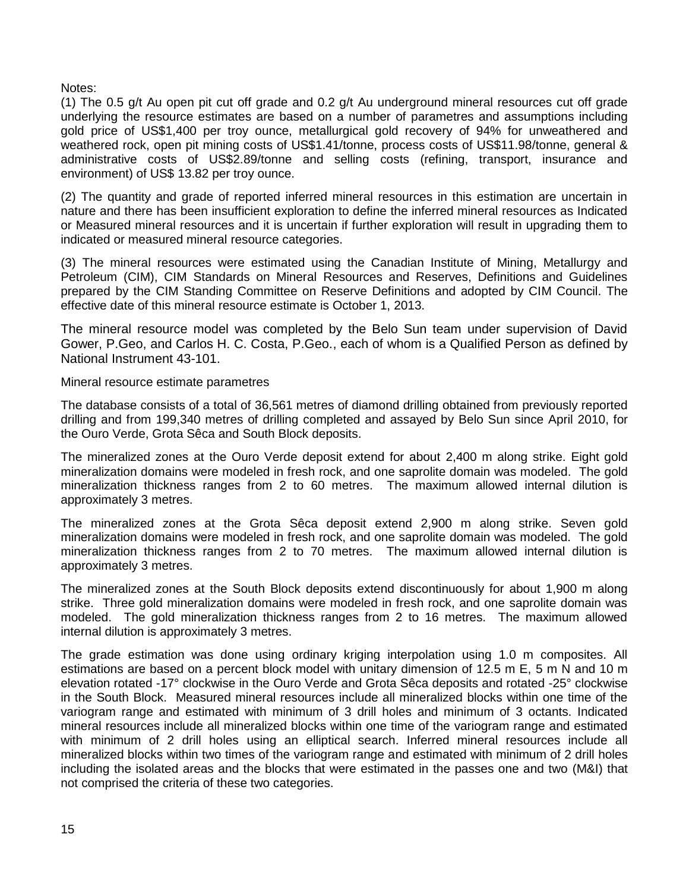Notes:

(1) The 0.5 g/t Au open pit cut off grade and 0.2 g/t Au underground mineral resources cut off grade underlying the resource estimates are based on a number of parametres and assumptions including gold price of US\$1,400 per troy ounce, metallurgical gold recovery of 94% for unweathered and weathered rock, open pit mining costs of US\$1.41/tonne, process costs of US\$11.98/tonne, general & administrative costs of US\$2.89/tonne and selling costs (refining, transport, insurance and environment) of US\$ 13.82 per troy ounce.

(2) The quantity and grade of reported inferred mineral resources in this estimation are uncertain in nature and there has been insufficient exploration to define the inferred mineral resources as Indicated or Measured mineral resources and it is uncertain if further exploration will result in upgrading them to indicated or measured mineral resource categories.

(3) The mineral resources were estimated using the Canadian Institute of Mining, Metallurgy and Petroleum (CIM), CIM Standards on Mineral Resources and Reserves, Definitions and Guidelines prepared by the CIM Standing Committee on Reserve Definitions and adopted by CIM Council. The effective date of this mineral resource estimate is October 1, 2013.

The mineral resource model was completed by the Belo Sun team under supervision of David Gower, P.Geo, and Carlos H. C. Costa, P.Geo., each of whom is a Qualified Person as defined by National Instrument 43-101.

Mineral resource estimate parametres

The database consists of a total of 36,561 metres of diamond drilling obtained from previously reported drilling and from 199,340 metres of drilling completed and assayed by Belo Sun since April 2010, for the Ouro Verde, Grota Sêca and South Block deposits.

The mineralized zones at the Ouro Verde deposit extend for about 2,400 m along strike. Eight gold mineralization domains were modeled in fresh rock, and one saprolite domain was modeled. The gold mineralization thickness ranges from 2 to 60 metres. The maximum allowed internal dilution is approximately 3 metres.

The mineralized zones at the Grota Sêca deposit extend 2,900 m along strike. Seven gold mineralization domains were modeled in fresh rock, and one saprolite domain was modeled. The gold mineralization thickness ranges from 2 to 70 metres. The maximum allowed internal dilution is approximately 3 metres.

The mineralized zones at the South Block deposits extend discontinuously for about 1,900 m along strike. Three gold mineralization domains were modeled in fresh rock, and one saprolite domain was modeled. The gold mineralization thickness ranges from 2 to 16 metres. The maximum allowed internal dilution is approximately 3 metres.

The grade estimation was done using ordinary kriging interpolation using 1.0 m composites. All estimations are based on a percent block model with unitary dimension of 12.5 m E, 5 m N and 10 m elevation rotated -17° clockwise in the Ouro Verde and Grota Sêca deposits and rotated -25° clockwise in the South Block. Measured mineral resources include all mineralized blocks within one time of the variogram range and estimated with minimum of 3 drill holes and minimum of 3 octants. Indicated mineral resources include all mineralized blocks within one time of the variogram range and estimated with minimum of 2 drill holes using an elliptical search. Inferred mineral resources include all mineralized blocks within two times of the variogram range and estimated with minimum of 2 drill holes including the isolated areas and the blocks that were estimated in the passes one and two (M&I) that not comprised the criteria of these two categories.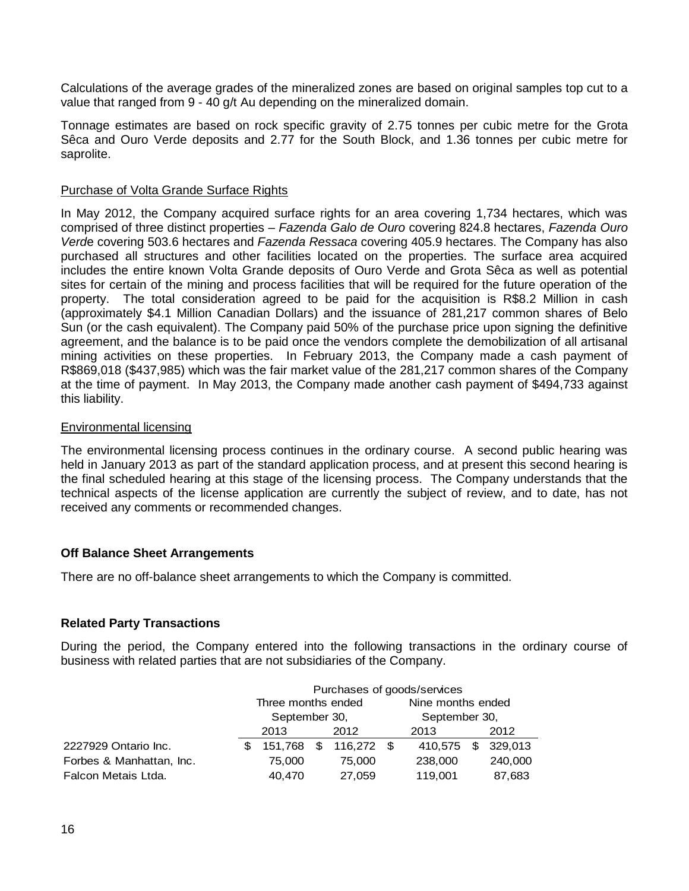Calculations of the average grades of the mineralized zones are based on original samples top cut to a value that ranged from 9 - 40 g/t Au depending on the mineralized domain.

Tonnage estimates are based on rock specific gravity of 2.75 tonnes per cubic metre for the Grota Sêca and Ouro Verde deposits and 2.77 for the South Block, and 1.36 tonnes per cubic metre for saprolite.

## Purchase of Volta Grande Surface Rights

In May 2012, the Company acquired surface rights for an area covering 1,734 hectares, which was comprised of three distinct properties – *Fazenda Galo de Ouro* covering 824.8 hectares, *Fazenda Ouro Verd*e covering 503.6 hectares and *Fazenda Ressaca* covering 405.9 hectares. The Company has also purchased all structures and other facilities located on the properties. The surface area acquired includes the entire known Volta Grande deposits of Ouro Verde and Grota Sêca as well as potential sites for certain of the mining and process facilities that will be required for the future operation of the property. The total consideration agreed to be paid for the acquisition is R\$8.2 Million in cash (approximately \$4.1 Million Canadian Dollars) and the issuance of 281,217 common shares of Belo Sun (or the cash equivalent). The Company paid 50% of the purchase price upon signing the definitive agreement, and the balance is to be paid once the vendors complete the demobilization of all artisanal mining activities on these properties. In February 2013, the Company made a cash payment of R\$869,018 (\$437,985) which was the fair market value of the 281,217 common shares of the Company at the time of payment. In May 2013, the Company made another cash payment of \$494,733 against this liability.

## Environmental licensing

The environmental licensing process continues in the ordinary course. A second public hearing was held in January 2013 as part of the standard application process, and at present this second hearing is the final scheduled hearing at this stage of the licensing process. The Company understands that the technical aspects of the license application are currently the subject of review, and to date, has not received any comments or recommended changes.

#### **Off Balance Sheet Arrangements**

There are no off-balance sheet arrangements to which the Company is committed.

#### **Related Party Transactions**

During the period, the Company entered into the following transactions in the ordinary course of business with related parties that are not subsidiaries of the Company.

|                          |      | Purchases of goods/services |      |            |                       |                   |    |         |
|--------------------------|------|-----------------------------|------|------------|-----------------------|-------------------|----|---------|
|                          |      | Three months ended          |      |            |                       | Nine months ended |    |         |
|                          |      | September 30,               |      |            | September 30,<br>2013 |                   |    |         |
|                          | 2013 |                             | 2012 | 2012       |                       |                   |    |         |
| 2227929 Ontario Inc.     | \$.  | 151,768 \$                  |      | 116,272 \$ |                       | 410,575           | -S | 329.013 |
| Forbes & Manhattan, Inc. |      | 75,000                      |      | 75,000     |                       | 238,000           |    | 240,000 |
| Falcon Metais Ltda.      |      | 40.470                      |      | 27,059     |                       | 119,001           |    | 87,683  |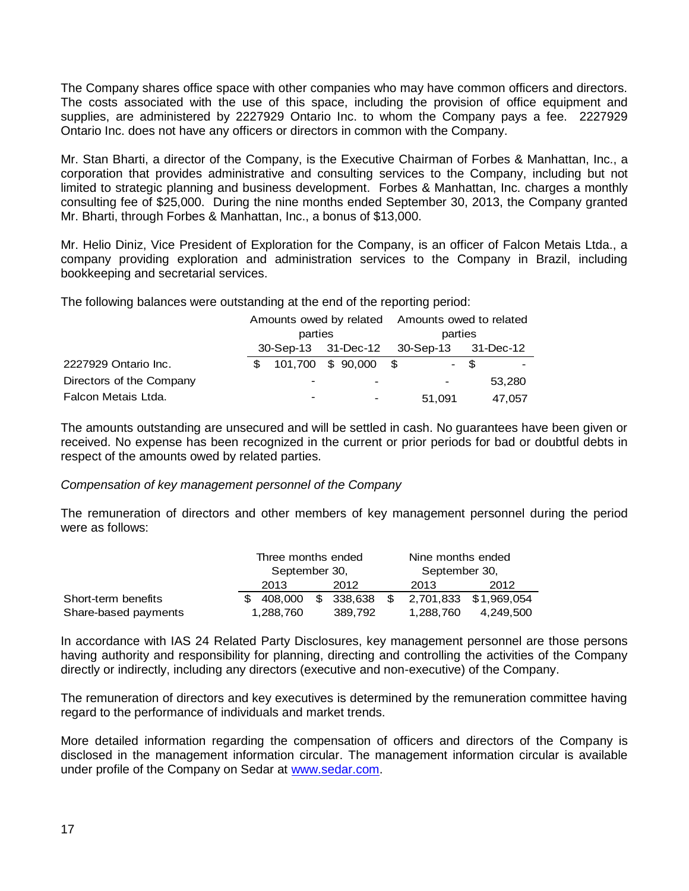The Company shares office space with other companies who may have common officers and directors. The costs associated with the use of this space, including the provision of office equipment and supplies, are administered by 2227929 Ontario Inc. to whom the Company pays a fee. 2227929 Ontario Inc. does not have any officers or directors in common with the Company.

Mr. Stan Bharti, a director of the Company, is the Executive Chairman of Forbes & Manhattan, Inc., a corporation that provides administrative and consulting services to the Company, including but not limited to strategic planning and business development. Forbes & Manhattan, Inc. charges a monthly consulting fee of \$25,000. During the nine months ended September 30, 2013, the Company granted Mr. Bharti, through Forbes & Manhattan, Inc., a bonus of \$13,000.

Mr. Helio Diniz, Vice President of Exploration for the Company, is an officer of Falcon Metais Ltda., a company providing exploration and administration services to the Company in Brazil, including bookkeeping and secretarial services.

The following balances were outstanding at the end of the reporting period:

|                          |                                         |                          | Amounts owed by related Amounts owed to related |        |
|--------------------------|-----------------------------------------|--------------------------|-------------------------------------------------|--------|
|                          | parties                                 |                          | parties                                         |        |
|                          | 30-Sep-13 31-Dec-12 30-Sep-13 31-Dec-12 |                          |                                                 |        |
| 2227929 Ontario Inc.     |                                         | $$101,700 \$90,000 \$$   |                                                 | - \$   |
| Directors of the Company | $\overline{\phantom{0}}$                | $\overline{\phantom{a}}$ |                                                 | 53,280 |
| Falcon Metais Ltda.      | $\overline{\phantom{0}}$                | $\blacksquare$           | 51,091                                          | 47,057 |

The amounts outstanding are unsecured and will be settled in cash. No guarantees have been given or received. No expense has been recognized in the current or prior periods for bad or doubtful debts in respect of the amounts owed by related parties.

# *Compensation of key management personnel of the Company*

The remuneration of directors and other members of key management personnel during the period were as follows:

|                      | Three months ended |         | Nine months ended                   |           |  |
|----------------------|--------------------|---------|-------------------------------------|-----------|--|
|                      | September 30,      |         | September 30,                       |           |  |
|                      | 2013               | 2012    | 2013                                | 2012      |  |
| Short-term benefits  | \$408,000          |         | \$ 338,638 \$ 2,701,833 \$1,969,054 |           |  |
| Share-based payments | 1,288,760          | 389.792 | 1,288,760                           | 4,249,500 |  |

In accordance with IAS 24 Related Party Disclosures, key management personnel are those persons having authority and responsibility for planning, directing and controlling the activities of the Company directly or indirectly, including any directors (executive and non-executive) of the Company.

The remuneration of directors and key executives is determined by the remuneration committee having regard to the performance of individuals and market trends.

More detailed information regarding the compensation of officers and directors of the Company is disclosed in the management information circular. The management information circular is available under profile of the Company on Sedar at [www.sedar.com.](http://www.sedar.com/)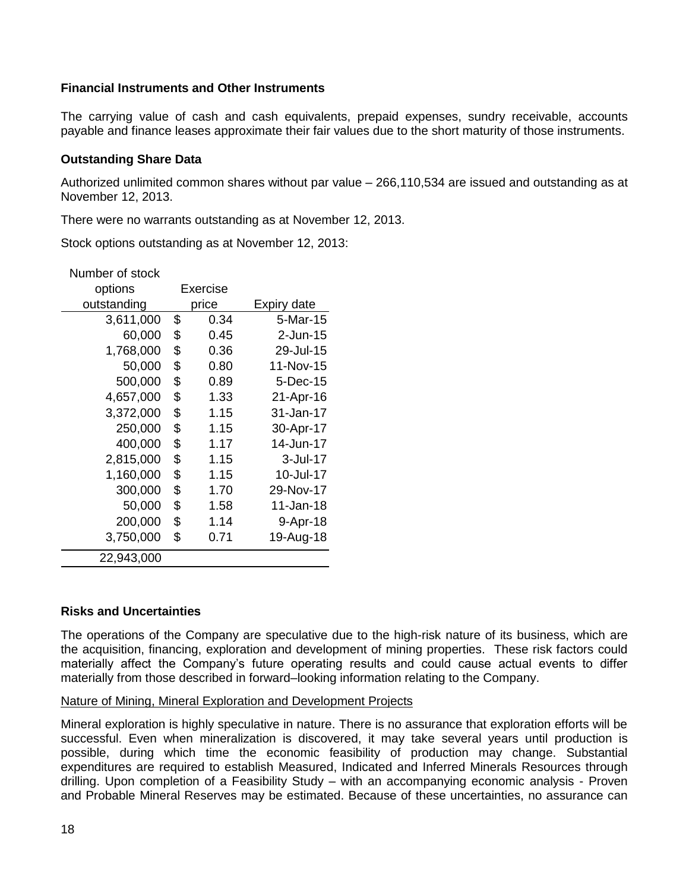# **Financial Instruments and Other Instruments**

The carrying value of cash and cash equivalents, prepaid expenses, sundry receivable, accounts payable and finance leases approximate their fair values due to the short maturity of those instruments.

# **Outstanding Share Data**

Authorized unlimited common shares without par value – 266,110,534 are issued and outstanding as at November 12, 2013.

There were no warrants outstanding as at November 12, 2013.

Stock options outstanding as at November 12, 2013:

| Number of stock |            |             |
|-----------------|------------|-------------|
| options         | Exercise   |             |
| outstanding     | price      | Expiry date |
| 3,611,000       | \$<br>0.34 | 5-Mar-15    |
| 60,000          | \$<br>0.45 | $2$ -Jun-15 |
| 1,768,000       | \$<br>0.36 | 29-Jul-15   |
| 50,000          | \$<br>0.80 | 11-Nov-15   |
| 500,000         | \$<br>0.89 | 5-Dec-15    |
| 4,657,000       | \$<br>1.33 | 21-Apr-16   |
| 3,372,000       | \$<br>1.15 | 31-Jan-17   |
| 250,000         | \$<br>1.15 | 30-Apr-17   |
| 400,000         | \$<br>1.17 | 14-Jun-17   |
| 2,815,000       | \$<br>1.15 | $3$ -Jul-17 |
| 1,160,000       | \$<br>1.15 | 10-Jul-17   |
| 300,000         | \$<br>1.70 | 29-Nov-17   |
| 50,000          | \$<br>1.58 | 11-Jan-18   |
| 200,000         | \$<br>1.14 | 9-Apr-18    |
| 3,750,000       | \$<br>0.71 | 19-Aug-18   |
| 22,943,000      |            |             |

# **Risks and Uncertainties**

The operations of the Company are speculative due to the high-risk nature of its business, which are the acquisition, financing, exploration and development of mining properties. These risk factors could materially affect the Company's future operating results and could cause actual events to differ materially from those described in forward–looking information relating to the Company.

# Nature of Mining, Mineral Exploration and Development Projects

Mineral exploration is highly speculative in nature. There is no assurance that exploration efforts will be successful. Even when mineralization is discovered, it may take several years until production is possible, during which time the economic feasibility of production may change. Substantial expenditures are required to establish Measured, Indicated and Inferred Minerals Resources through drilling. Upon completion of a Feasibility Study – with an accompanying economic analysis - Proven and Probable Mineral Reserves may be estimated. Because of these uncertainties, no assurance can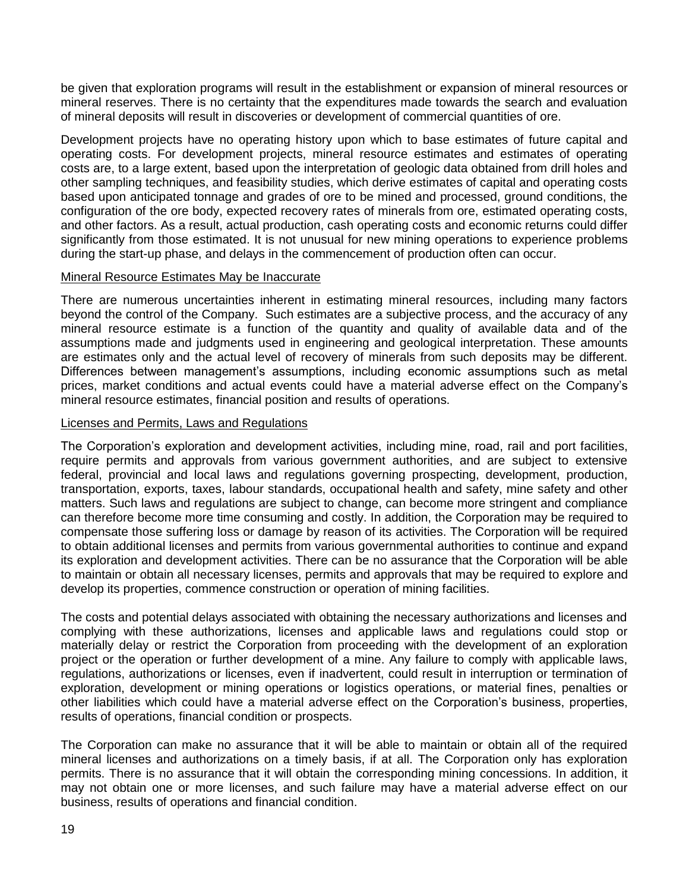be given that exploration programs will result in the establishment or expansion of mineral resources or mineral reserves. There is no certainty that the expenditures made towards the search and evaluation of mineral deposits will result in discoveries or development of commercial quantities of ore.

Development projects have no operating history upon which to base estimates of future capital and operating costs. For development projects, mineral resource estimates and estimates of operating costs are, to a large extent, based upon the interpretation of geologic data obtained from drill holes and other sampling techniques, and feasibility studies, which derive estimates of capital and operating costs based upon anticipated tonnage and grades of ore to be mined and processed, ground conditions, the configuration of the ore body, expected recovery rates of minerals from ore, estimated operating costs, and other factors. As a result, actual production, cash operating costs and economic returns could differ significantly from those estimated. It is not unusual for new mining operations to experience problems during the start-up phase, and delays in the commencement of production often can occur.

## Mineral Resource Estimates May be Inaccurate

There are numerous uncertainties inherent in estimating mineral resources, including many factors beyond the control of the Company. Such estimates are a subjective process, and the accuracy of any mineral resource estimate is a function of the quantity and quality of available data and of the assumptions made and judgments used in engineering and geological interpretation. These amounts are estimates only and the actual level of recovery of minerals from such deposits may be different. Differences between management's assumptions, including economic assumptions such as metal prices, market conditions and actual events could have a material adverse effect on the Company's mineral resource estimates, financial position and results of operations.

## Licenses and Permits, Laws and Regulations

The Corporation's exploration and development activities, including mine, road, rail and port facilities, require permits and approvals from various government authorities, and are subject to extensive federal, provincial and local laws and regulations governing prospecting, development, production, transportation, exports, taxes, labour standards, occupational health and safety, mine safety and other matters. Such laws and regulations are subject to change, can become more stringent and compliance can therefore become more time consuming and costly. In addition, the Corporation may be required to compensate those suffering loss or damage by reason of its activities. The Corporation will be required to obtain additional licenses and permits from various governmental authorities to continue and expand its exploration and development activities. There can be no assurance that the Corporation will be able to maintain or obtain all necessary licenses, permits and approvals that may be required to explore and develop its properties, commence construction or operation of mining facilities.

The costs and potential delays associated with obtaining the necessary authorizations and licenses and complying with these authorizations, licenses and applicable laws and regulations could stop or materially delay or restrict the Corporation from proceeding with the development of an exploration project or the operation or further development of a mine. Any failure to comply with applicable laws, regulations, authorizations or licenses, even if inadvertent, could result in interruption or termination of exploration, development or mining operations or logistics operations, or material fines, penalties or other liabilities which could have a material adverse effect on the Corporation's business, properties, results of operations, financial condition or prospects.

The Corporation can make no assurance that it will be able to maintain or obtain all of the required mineral licenses and authorizations on a timely basis, if at all. The Corporation only has exploration permits. There is no assurance that it will obtain the corresponding mining concessions. In addition, it may not obtain one or more licenses, and such failure may have a material adverse effect on our business, results of operations and financial condition.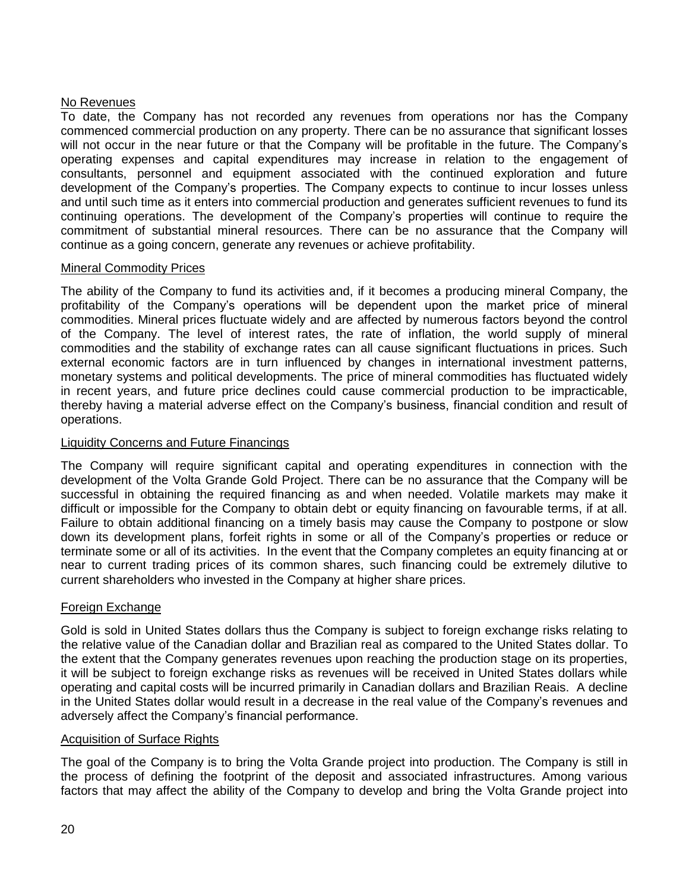# No Revenues

To date, the Company has not recorded any revenues from operations nor has the Company commenced commercial production on any property. There can be no assurance that significant losses will not occur in the near future or that the Company will be profitable in the future. The Company's operating expenses and capital expenditures may increase in relation to the engagement of consultants, personnel and equipment associated with the continued exploration and future development of the Company's properties. The Company expects to continue to incur losses unless and until such time as it enters into commercial production and generates sufficient revenues to fund its continuing operations. The development of the Company's properties will continue to require the commitment of substantial mineral resources. There can be no assurance that the Company will continue as a going concern, generate any revenues or achieve profitability.

# Mineral Commodity Prices

The ability of the Company to fund its activities and, if it becomes a producing mineral Company, the profitability of the Company's operations will be dependent upon the market price of mineral commodities. Mineral prices fluctuate widely and are affected by numerous factors beyond the control of the Company. The level of interest rates, the rate of inflation, the world supply of mineral commodities and the stability of exchange rates can all cause significant fluctuations in prices. Such external economic factors are in turn influenced by changes in international investment patterns, monetary systems and political developments. The price of mineral commodities has fluctuated widely in recent years, and future price declines could cause commercial production to be impracticable, thereby having a material adverse effect on the Company's business, financial condition and result of operations.

# Liquidity Concerns and Future Financings

The Company will require significant capital and operating expenditures in connection with the development of the Volta Grande Gold Project. There can be no assurance that the Company will be successful in obtaining the required financing as and when needed. Volatile markets may make it difficult or impossible for the Company to obtain debt or equity financing on favourable terms, if at all. Failure to obtain additional financing on a timely basis may cause the Company to postpone or slow down its development plans, forfeit rights in some or all of the Company's properties or reduce or terminate some or all of its activities. In the event that the Company completes an equity financing at or near to current trading prices of its common shares, such financing could be extremely dilutive to current shareholders who invested in the Company at higher share prices.

# Foreign Exchange

Gold is sold in United States dollars thus the Company is subject to foreign exchange risks relating to the relative value of the Canadian dollar and Brazilian real as compared to the United States dollar. To the extent that the Company generates revenues upon reaching the production stage on its properties, it will be subject to foreign exchange risks as revenues will be received in United States dollars while operating and capital costs will be incurred primarily in Canadian dollars and Brazilian Reais. A decline in the United States dollar would result in a decrease in the real value of the Company's revenues and adversely affect the Company's financial performance.

# Acquisition of Surface Rights

The goal of the Company is to bring the Volta Grande project into production. The Company is still in the process of defining the footprint of the deposit and associated infrastructures. Among various factors that may affect the ability of the Company to develop and bring the Volta Grande project into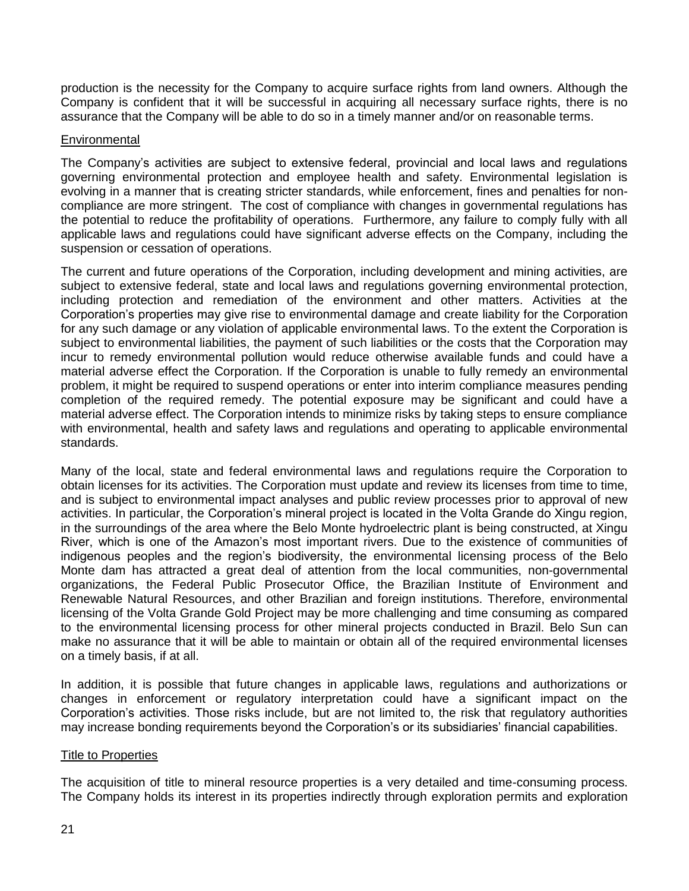production is the necessity for the Company to acquire surface rights from land owners. Although the Company is confident that it will be successful in acquiring all necessary surface rights, there is no assurance that the Company will be able to do so in a timely manner and/or on reasonable terms.

## **Environmental**

The Company's activities are subject to extensive federal, provincial and local laws and regulations governing environmental protection and employee health and safety. Environmental legislation is evolving in a manner that is creating stricter standards, while enforcement, fines and penalties for noncompliance are more stringent. The cost of compliance with changes in governmental regulations has the potential to reduce the profitability of operations. Furthermore, any failure to comply fully with all applicable laws and regulations could have significant adverse effects on the Company, including the suspension or cessation of operations.

The current and future operations of the Corporation, including development and mining activities, are subject to extensive federal, state and local laws and regulations governing environmental protection, including protection and remediation of the environment and other matters. Activities at the Corporation's properties may give rise to environmental damage and create liability for the Corporation for any such damage or any violation of applicable environmental laws. To the extent the Corporation is subject to environmental liabilities, the payment of such liabilities or the costs that the Corporation may incur to remedy environmental pollution would reduce otherwise available funds and could have a material adverse effect the Corporation. If the Corporation is unable to fully remedy an environmental problem, it might be required to suspend operations or enter into interim compliance measures pending completion of the required remedy. The potential exposure may be significant and could have a material adverse effect. The Corporation intends to minimize risks by taking steps to ensure compliance with environmental, health and safety laws and regulations and operating to applicable environmental standards.

Many of the local, state and federal environmental laws and regulations require the Corporation to obtain licenses for its activities. The Corporation must update and review its licenses from time to time, and is subject to environmental impact analyses and public review processes prior to approval of new activities. In particular, the Corporation's mineral project is located in the Volta Grande do Xingu region, in the surroundings of the area where the Belo Monte hydroelectric plant is being constructed, at Xingu River, which is one of the Amazon's most important rivers. Due to the existence of communities of indigenous peoples and the region's biodiversity, the environmental licensing process of the Belo Monte dam has attracted a great deal of attention from the local communities, non-governmental organizations, the Federal Public Prosecutor Office, the Brazilian Institute of Environment and Renewable Natural Resources, and other Brazilian and foreign institutions. Therefore, environmental licensing of the Volta Grande Gold Project may be more challenging and time consuming as compared to the environmental licensing process for other mineral projects conducted in Brazil. Belo Sun can make no assurance that it will be able to maintain or obtain all of the required environmental licenses on a timely basis, if at all.

In addition, it is possible that future changes in applicable laws, regulations and authorizations or changes in enforcement or regulatory interpretation could have a significant impact on the Corporation's activities. Those risks include, but are not limited to, the risk that regulatory authorities may increase bonding requirements beyond the Corporation's or its subsidiaries' financial capabilities.

#### **Title to Properties**

The acquisition of title to mineral resource properties is a very detailed and time-consuming process. The Company holds its interest in its properties indirectly through exploration permits and exploration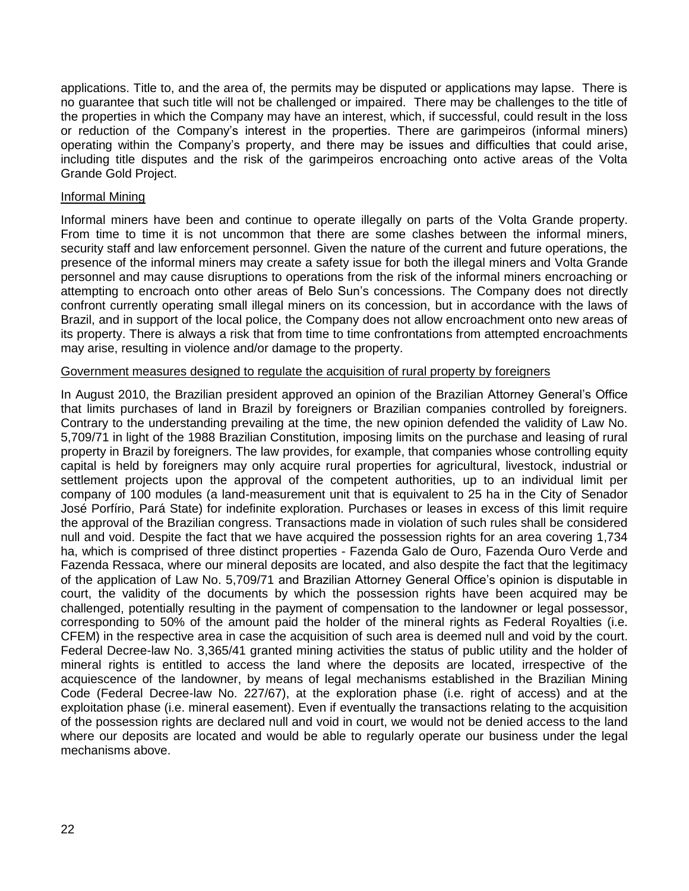applications. Title to, and the area of, the permits may be disputed or applications may lapse. There is no guarantee that such title will not be challenged or impaired. There may be challenges to the title of the properties in which the Company may have an interest, which, if successful, could result in the loss or reduction of the Company's interest in the properties. There are garimpeiros (informal miners) operating within the Company's property, and there may be issues and difficulties that could arise, including title disputes and the risk of the garimpeiros encroaching onto active areas of the Volta Grande Gold Project.

#### Informal Mining

Informal miners have been and continue to operate illegally on parts of the Volta Grande property. From time to time it is not uncommon that there are some clashes between the informal miners, security staff and law enforcement personnel. Given the nature of the current and future operations, the presence of the informal miners may create a safety issue for both the illegal miners and Volta Grande personnel and may cause disruptions to operations from the risk of the informal miners encroaching or attempting to encroach onto other areas of Belo Sun's concessions. The Company does not directly confront currently operating small illegal miners on its concession, but in accordance with the laws of Brazil, and in support of the local police, the Company does not allow encroachment onto new areas of its property. There is always a risk that from time to time confrontations from attempted encroachments may arise, resulting in violence and/or damage to the property.

## Government measures designed to regulate the acquisition of rural property by foreigners

In August 2010, the Brazilian president approved an opinion of the Brazilian Attorney General's Office that limits purchases of land in Brazil by foreigners or Brazilian companies controlled by foreigners. Contrary to the understanding prevailing at the time, the new opinion defended the validity of Law No. 5,709/71 in light of the 1988 Brazilian Constitution, imposing limits on the purchase and leasing of rural property in Brazil by foreigners. The law provides, for example, that companies whose controlling equity capital is held by foreigners may only acquire rural properties for agricultural, livestock, industrial or settlement projects upon the approval of the competent authorities, up to an individual limit per company of 100 modules (a land-measurement unit that is equivalent to 25 ha in the City of Senador José Porfírio, Pará State) for indefinite exploration. Purchases or leases in excess of this limit require the approval of the Brazilian congress. Transactions made in violation of such rules shall be considered null and void. Despite the fact that we have acquired the possession rights for an area covering 1,734 ha, which is comprised of three distinct properties - Fazenda Galo de Ouro, Fazenda Ouro Verde and Fazenda Ressaca, where our mineral deposits are located, and also despite the fact that the legitimacy of the application of Law No. 5,709/71 and Brazilian Attorney General Office's opinion is disputable in court, the validity of the documents by which the possession rights have been acquired may be challenged, potentially resulting in the payment of compensation to the landowner or legal possessor, corresponding to 50% of the amount paid the holder of the mineral rights as Federal Royalties (i.e. CFEM) in the respective area in case the acquisition of such area is deemed null and void by the court. Federal Decree-law No. 3,365/41 granted mining activities the status of public utility and the holder of mineral rights is entitled to access the land where the deposits are located, irrespective of the acquiescence of the landowner, by means of legal mechanisms established in the Brazilian Mining Code (Federal Decree-law No. 227/67), at the exploration phase (i.e. right of access) and at the exploitation phase (i.e. mineral easement). Even if eventually the transactions relating to the acquisition of the possession rights are declared null and void in court, we would not be denied access to the land where our deposits are located and would be able to regularly operate our business under the legal mechanisms above.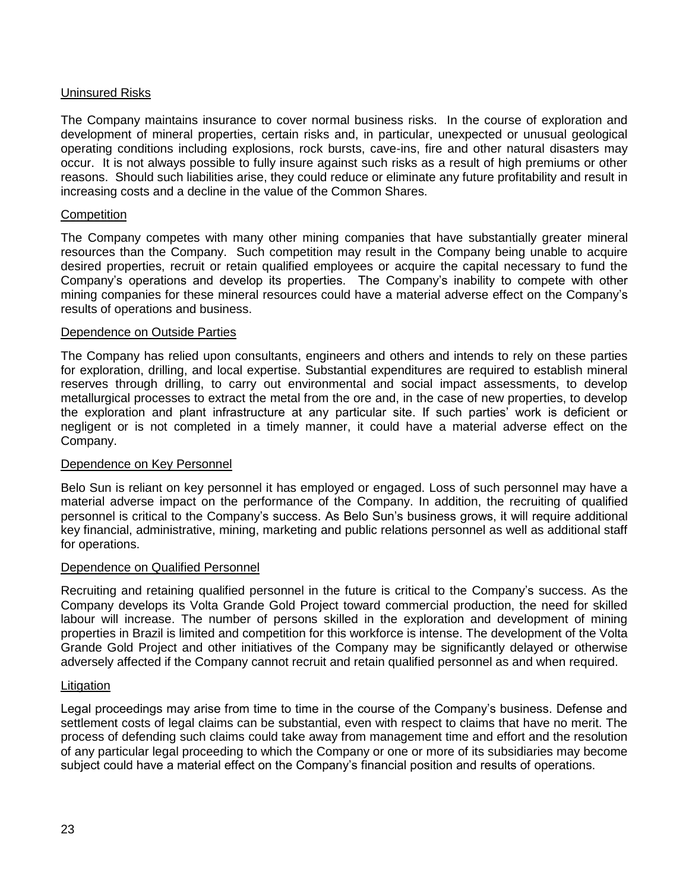# Uninsured Risks

The Company maintains insurance to cover normal business risks. In the course of exploration and development of mineral properties, certain risks and, in particular, unexpected or unusual geological operating conditions including explosions, rock bursts, cave-ins, fire and other natural disasters may occur. It is not always possible to fully insure against such risks as a result of high premiums or other reasons. Should such liabilities arise, they could reduce or eliminate any future profitability and result in increasing costs and a decline in the value of the Common Shares.

## **Competition**

The Company competes with many other mining companies that have substantially greater mineral resources than the Company. Such competition may result in the Company being unable to acquire desired properties, recruit or retain qualified employees or acquire the capital necessary to fund the Company's operations and develop its properties. The Company's inability to compete with other mining companies for these mineral resources could have a material adverse effect on the Company's results of operations and business.

## Dependence on Outside Parties

The Company has relied upon consultants, engineers and others and intends to rely on these parties for exploration, drilling, and local expertise. Substantial expenditures are required to establish mineral reserves through drilling, to carry out environmental and social impact assessments, to develop metallurgical processes to extract the metal from the ore and, in the case of new properties, to develop the exploration and plant infrastructure at any particular site. If such parties' work is deficient or negligent or is not completed in a timely manner, it could have a material adverse effect on the Company.

# Dependence on Key Personnel

Belo Sun is reliant on key personnel it has employed or engaged. Loss of such personnel may have a material adverse impact on the performance of the Company. In addition, the recruiting of qualified personnel is critical to the Company's success. As Belo Sun's business grows, it will require additional key financial, administrative, mining, marketing and public relations personnel as well as additional staff for operations.

#### Dependence on Qualified Personnel

Recruiting and retaining qualified personnel in the future is critical to the Company's success. As the Company develops its Volta Grande Gold Project toward commercial production, the need for skilled labour will increase. The number of persons skilled in the exploration and development of mining properties in Brazil is limited and competition for this workforce is intense. The development of the Volta Grande Gold Project and other initiatives of the Company may be significantly delayed or otherwise adversely affected if the Company cannot recruit and retain qualified personnel as and when required.

#### **Litigation**

Legal proceedings may arise from time to time in the course of the Company's business. Defense and settlement costs of legal claims can be substantial, even with respect to claims that have no merit. The process of defending such claims could take away from management time and effort and the resolution of any particular legal proceeding to which the Company or one or more of its subsidiaries may become subject could have a material effect on the Company's financial position and results of operations.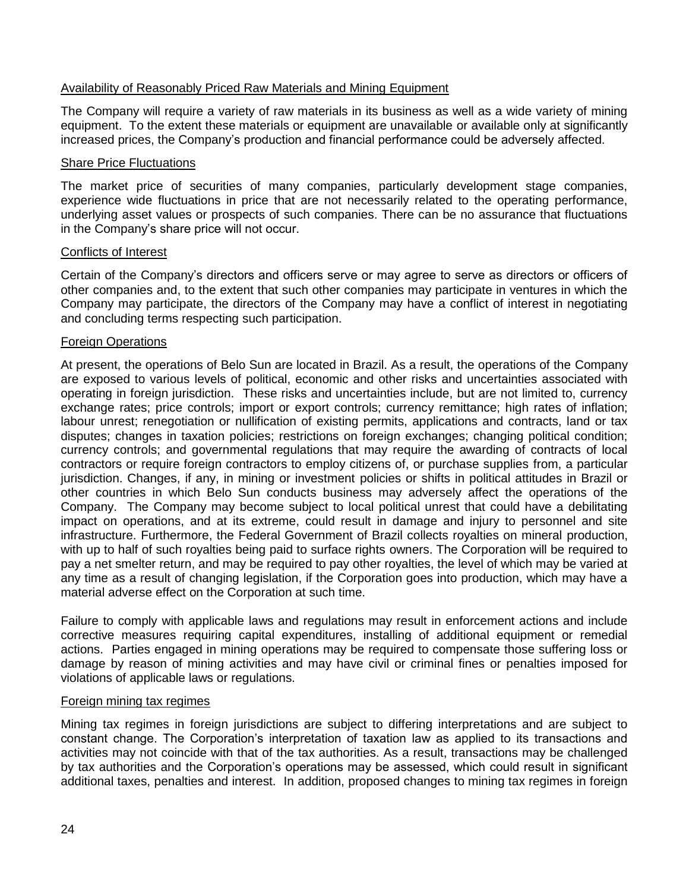# Availability of Reasonably Priced Raw Materials and Mining Equipment

The Company will require a variety of raw materials in its business as well as a wide variety of mining equipment. To the extent these materials or equipment are unavailable or available only at significantly increased prices, the Company's production and financial performance could be adversely affected.

## Share Price Fluctuations

The market price of securities of many companies, particularly development stage companies, experience wide fluctuations in price that are not necessarily related to the operating performance, underlying asset values or prospects of such companies. There can be no assurance that fluctuations in the Company's share price will not occur.

## Conflicts of Interest

Certain of the Company's directors and officers serve or may agree to serve as directors or officers of other companies and, to the extent that such other companies may participate in ventures in which the Company may participate, the directors of the Company may have a conflict of interest in negotiating and concluding terms respecting such participation.

## **Foreign Operations**

At present, the operations of Belo Sun are located in Brazil. As a result, the operations of the Company are exposed to various levels of political, economic and other risks and uncertainties associated with operating in foreign jurisdiction. These risks and uncertainties include, but are not limited to, currency exchange rates; price controls; import or export controls; currency remittance; high rates of inflation; labour unrest; renegotiation or nullification of existing permits, applications and contracts, land or tax disputes; changes in taxation policies; restrictions on foreign exchanges; changing political condition; currency controls; and governmental regulations that may require the awarding of contracts of local contractors or require foreign contractors to employ citizens of, or purchase supplies from, a particular jurisdiction. Changes, if any, in mining or investment policies or shifts in political attitudes in Brazil or other countries in which Belo Sun conducts business may adversely affect the operations of the Company. The Company may become subject to local political unrest that could have a debilitating impact on operations, and at its extreme, could result in damage and injury to personnel and site infrastructure. Furthermore, the Federal Government of Brazil collects royalties on mineral production, with up to half of such royalties being paid to surface rights owners. The Corporation will be required to pay a net smelter return, and may be required to pay other royalties, the level of which may be varied at any time as a result of changing legislation, if the Corporation goes into production, which may have a material adverse effect on the Corporation at such time.

Failure to comply with applicable laws and regulations may result in enforcement actions and include corrective measures requiring capital expenditures, installing of additional equipment or remedial actions. Parties engaged in mining operations may be required to compensate those suffering loss or damage by reason of mining activities and may have civil or criminal fines or penalties imposed for violations of applicable laws or regulations.

# Foreign mining tax regimes

Mining tax regimes in foreign jurisdictions are subject to differing interpretations and are subject to constant change. The Corporation's interpretation of taxation law as applied to its transactions and activities may not coincide with that of the tax authorities. As a result, transactions may be challenged by tax authorities and the Corporation's operations may be assessed, which could result in significant additional taxes, penalties and interest. In addition, proposed changes to mining tax regimes in foreign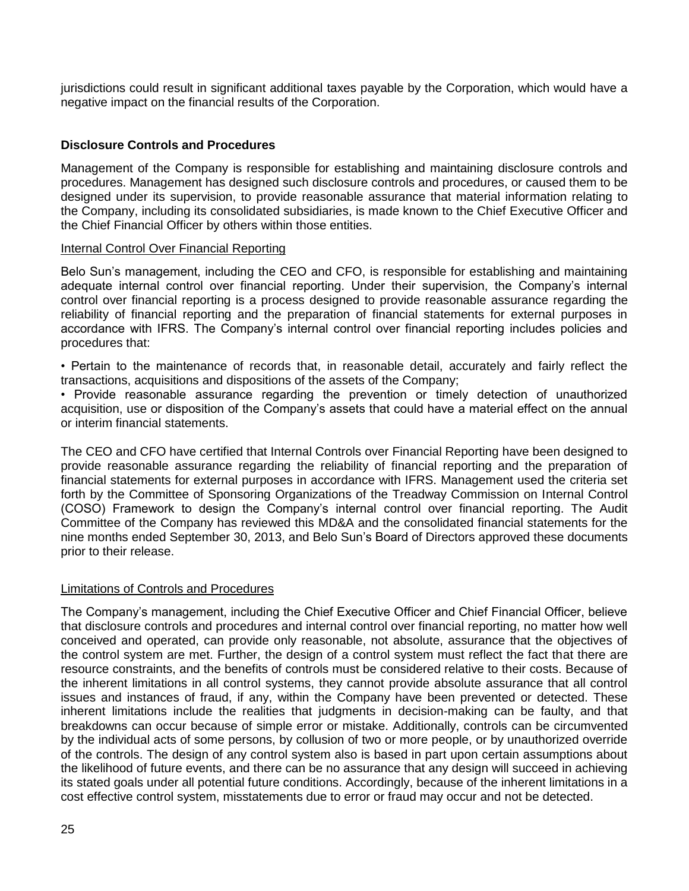jurisdictions could result in significant additional taxes payable by the Corporation, which would have a negative impact on the financial results of the Corporation.

# **Disclosure Controls and Procedures**

Management of the Company is responsible for establishing and maintaining disclosure controls and procedures. Management has designed such disclosure controls and procedures, or caused them to be designed under its supervision, to provide reasonable assurance that material information relating to the Company, including its consolidated subsidiaries, is made known to the Chief Executive Officer and the Chief Financial Officer by others within those entities.

## Internal Control Over Financial Reporting

Belo Sun's management, including the CEO and CFO, is responsible for establishing and maintaining adequate internal control over financial reporting. Under their supervision, the Company's internal control over financial reporting is a process designed to provide reasonable assurance regarding the reliability of financial reporting and the preparation of financial statements for external purposes in accordance with IFRS. The Company's internal control over financial reporting includes policies and procedures that:

• Pertain to the maintenance of records that, in reasonable detail, accurately and fairly reflect the transactions, acquisitions and dispositions of the assets of the Company;

• Provide reasonable assurance regarding the prevention or timely detection of unauthorized acquisition, use or disposition of the Company's assets that could have a material effect on the annual or interim financial statements.

The CEO and CFO have certified that Internal Controls over Financial Reporting have been designed to provide reasonable assurance regarding the reliability of financial reporting and the preparation of financial statements for external purposes in accordance with IFRS. Management used the criteria set forth by the Committee of Sponsoring Organizations of the Treadway Commission on Internal Control (COSO) Framework to design the Company's internal control over financial reporting. The Audit Committee of the Company has reviewed this MD&A and the consolidated financial statements for the nine months ended September 30, 2013, and Belo Sun's Board of Directors approved these documents prior to their release.

# Limitations of Controls and Procedures

The Company's management, including the Chief Executive Officer and Chief Financial Officer, believe that disclosure controls and procedures and internal control over financial reporting, no matter how well conceived and operated, can provide only reasonable, not absolute, assurance that the objectives of the control system are met. Further, the design of a control system must reflect the fact that there are resource constraints, and the benefits of controls must be considered relative to their costs. Because of the inherent limitations in all control systems, they cannot provide absolute assurance that all control issues and instances of fraud, if any, within the Company have been prevented or detected. These inherent limitations include the realities that judgments in decision-making can be faulty, and that breakdowns can occur because of simple error or mistake. Additionally, controls can be circumvented by the individual acts of some persons, by collusion of two or more people, or by unauthorized override of the controls. The design of any control system also is based in part upon certain assumptions about the likelihood of future events, and there can be no assurance that any design will succeed in achieving its stated goals under all potential future conditions. Accordingly, because of the inherent limitations in a cost effective control system, misstatements due to error or fraud may occur and not be detected.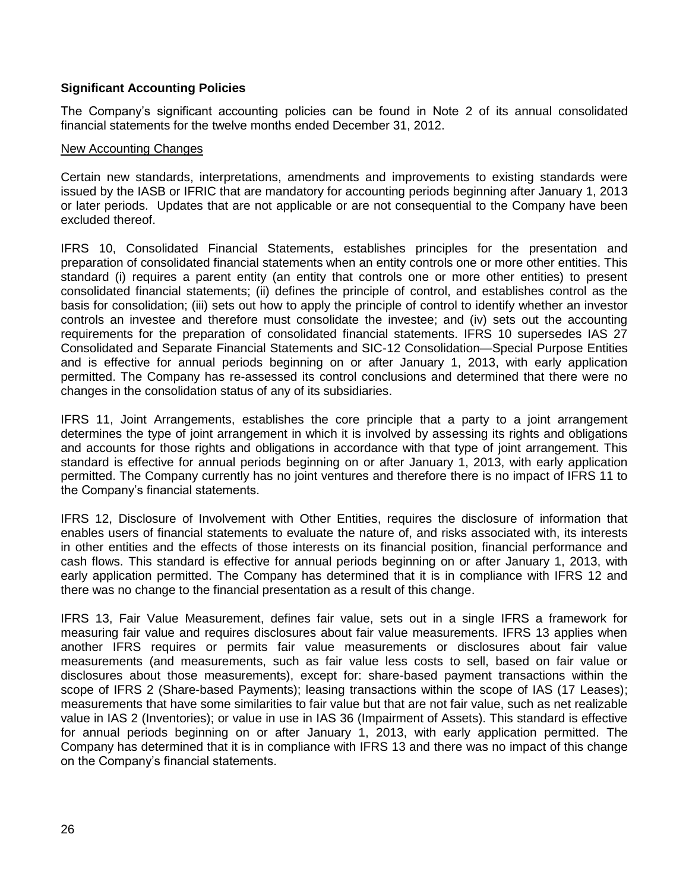# **Significant Accounting Policies**

The Company's significant accounting policies can be found in Note 2 of its annual consolidated financial statements for the twelve months ended December 31, 2012.

#### New Accounting Changes

Certain new standards, interpretations, amendments and improvements to existing standards were issued by the IASB or IFRIC that are mandatory for accounting periods beginning after January 1, 2013 or later periods. Updates that are not applicable or are not consequential to the Company have been excluded thereof.

IFRS 10, Consolidated Financial Statements, establishes principles for the presentation and preparation of consolidated financial statements when an entity controls one or more other entities. This standard (i) requires a parent entity (an entity that controls one or more other entities) to present consolidated financial statements; (ii) defines the principle of control, and establishes control as the basis for consolidation; (iii) sets out how to apply the principle of control to identify whether an investor controls an investee and therefore must consolidate the investee; and (iv) sets out the accounting requirements for the preparation of consolidated financial statements. IFRS 10 supersedes IAS 27 Consolidated and Separate Financial Statements and SIC-12 Consolidation—Special Purpose Entities and is effective for annual periods beginning on or after January 1, 2013, with early application permitted. The Company has re-assessed its control conclusions and determined that there were no changes in the consolidation status of any of its subsidiaries.

IFRS 11, Joint Arrangements, establishes the core principle that a party to a joint arrangement determines the type of joint arrangement in which it is involved by assessing its rights and obligations and accounts for those rights and obligations in accordance with that type of joint arrangement. This standard is effective for annual periods beginning on or after January 1, 2013, with early application permitted. The Company currently has no joint ventures and therefore there is no impact of IFRS 11 to the Company's financial statements.

IFRS 12, Disclosure of Involvement with Other Entities, requires the disclosure of information that enables users of financial statements to evaluate the nature of, and risks associated with, its interests in other entities and the effects of those interests on its financial position, financial performance and cash flows. This standard is effective for annual periods beginning on or after January 1, 2013, with early application permitted. The Company has determined that it is in compliance with IFRS 12 and there was no change to the financial presentation as a result of this change.

IFRS 13, Fair Value Measurement, defines fair value, sets out in a single IFRS a framework for measuring fair value and requires disclosures about fair value measurements. IFRS 13 applies when another IFRS requires or permits fair value measurements or disclosures about fair value measurements (and measurements, such as fair value less costs to sell, based on fair value or disclosures about those measurements), except for: share-based payment transactions within the scope of IFRS 2 (Share-based Payments); leasing transactions within the scope of IAS (17 Leases); measurements that have some similarities to fair value but that are not fair value, such as net realizable value in IAS 2 (Inventories); or value in use in IAS 36 (Impairment of Assets). This standard is effective for annual periods beginning on or after January 1, 2013, with early application permitted. The Company has determined that it is in compliance with IFRS 13 and there was no impact of this change on the Company's financial statements.